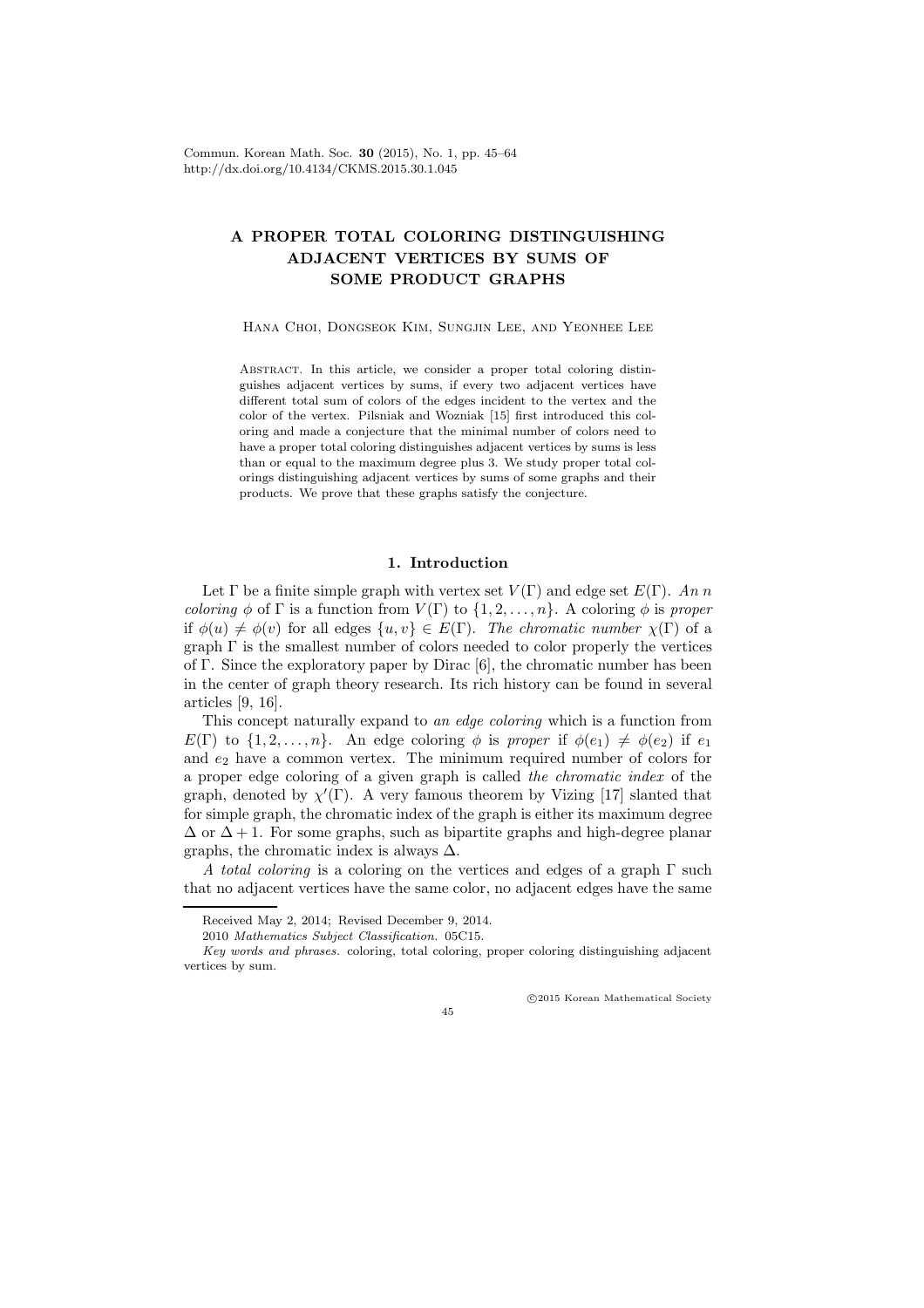# A PROPER TOTAL COLORING DISTINGUISHING ADJACENT VERTICES BY SUMS OF SOME PRODUCT GRAPHS

Hana Choi, Dongseok Kim, Sungjin Lee, and Yeonhee Lee

ABSTRACT. In this article, we consider a proper total coloring distinguishes adjacent vertices by sums, if every two adjacent vertices have different total sum of colors of the edges incident to the vertex and the color of the vertex. Pilsniak and Wozniak [15] first introduced this coloring and made a conjecture that the minimal number of colors need to have a proper total coloring distinguishes adjacent vertices by sums is less than or equal to the maximum degree plus 3. We study proper total colorings distinguishing adjacent vertices by sums of some graphs and their products. We prove that these graphs satisfy the conjecture.

## 1. Introduction

Let  $\Gamma$  be a finite simple graph with vertex set  $V(\Gamma)$  and edge set  $E(\Gamma)$ . An n *coloring*  $\phi$  of  $\Gamma$  is a function from  $V(\Gamma)$  to  $\{1, 2, ..., n\}$ . A coloring  $\phi$  is proper if  $\phi(u) \neq \phi(v)$  for all edges  $\{u, v\} \in E(\Gamma)$ . The chromatic number  $\chi(\Gamma)$  of a graph  $\Gamma$  is the smallest number of colors needed to color properly the vertices of Γ. Since the exploratory paper by Dirac [6], the chromatic number has been in the center of graph theory research. Its rich history can be found in several articles [9, 16].

This concept naturally expand to an edge coloring which is a function from  $E(\Gamma)$  to  $\{1, 2, ..., n\}$ . An edge coloring  $\phi$  is proper if  $\phi(e_1) \neq \phi(e_2)$  if  $e_1$ and  $e_2$  have a common vertex. The minimum required number of colors for a proper edge coloring of a given graph is called the chromatic index of the graph, denoted by  $\chi'(\Gamma)$ . A very famous theorem by Vizing [17] slanted that for simple graph, the chromatic index of the graph is either its maximum degree  $\Delta$  or  $\Delta + 1$ . For some graphs, such as bipartite graphs and high-degree planar graphs, the chromatic index is always  $\Delta$ .

A total coloring is a coloring on the vertices and edges of a graph  $\Gamma$  such that no adjacent vertices have the same color, no adjacent edges have the same

c 2015 Korean Mathematical Society

45

Received May 2, 2014; Revised December 9, 2014.

<sup>2010</sup> Mathematics Subject Classification. 05C15.

Key words and phrases. coloring, total coloring, proper coloring distinguishing adjacent vertices by sum.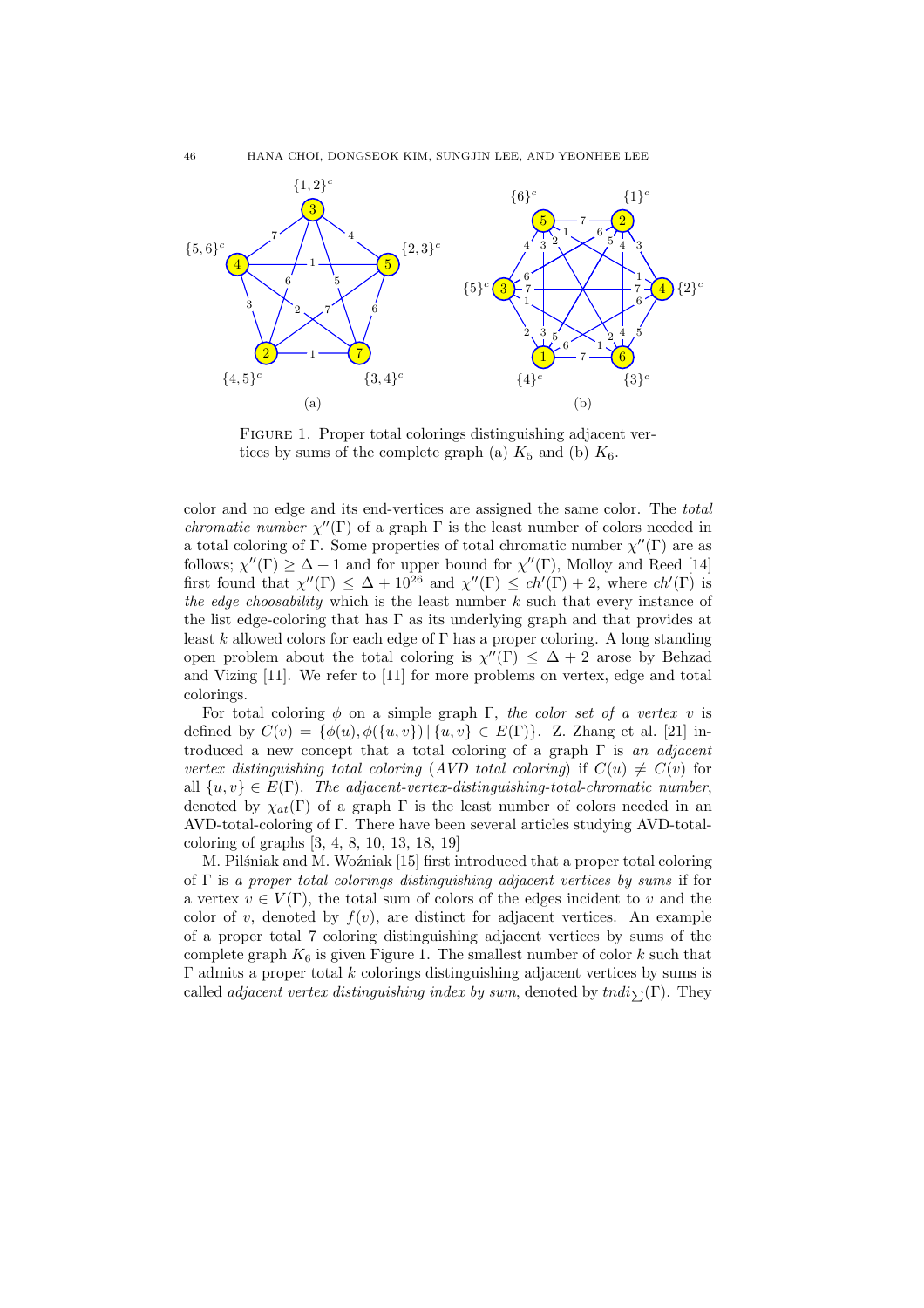

FIGURE 1. Proper total colorings distinguishing adjacent vertices by sums of the complete graph (a)  $K_5$  and (b)  $K_6$ .

color and no edge and its end-vertices are assigned the same color. The total chromatic number  $\chi''(\Gamma)$  of a graph  $\Gamma$  is the least number of colors needed in a total coloring of  $\Gamma$ . Some properties of total chromatic number  $\chi''(\Gamma)$  are as follows;  $\chi''(\Gamma) \geq \Delta + 1$  and for upper bound for  $\chi''(\Gamma)$ , Molloy and Reed [14] first found that  $\chi''(\Gamma) \leq \Delta + 10^{26}$  and  $\chi''(\Gamma) \leq ch'(\Gamma) + 2$ , where  $ch'(\Gamma)$  is the edge choosability which is the least number  $k$  such that every instance of the list edge-coloring that has  $\Gamma$  as its underlying graph and that provides at least k allowed colors for each edge of  $\Gamma$  has a proper coloring. A long standing open problem about the total coloring is  $\chi''(\Gamma) \leq \Delta + 2$  arose by Behzad and Vizing [11]. We refer to [11] for more problems on vertex, edge and total colorings.

For total coloring  $\phi$  on a simple graph Γ, the color set of a vertex v is defined by  $C(v) = {\phi(u), \phi({u, v}) \mid {u, v} \in E(\Gamma)}$ . Z. Zhang et al. [21] introduced a new concept that a total coloring of a graph  $\Gamma$  is an adjacent vertex distinguishing total coloring (AVD total coloring) if  $C(u) \neq C(v)$  for all  $\{u, v\} \in E(\Gamma)$ . The adjacent-vertex-distinguishing-total-chromatic number, denoted by  $\chi_{at}(\Gamma)$  of a graph  $\Gamma$  is the least number of colors needed in an AVD-total-coloring of Γ. There have been several articles studying AVD-totalcoloring of graphs [3, 4, 8, 10, 13, 18, 19]

M. Pilsniak and M. Wo $\zeta$ niak [15] first introduced that a proper total coloring of  $\Gamma$  is a proper total colorings distinguishing adjacent vertices by sums if for a vertex  $v \in V(\Gamma)$ , the total sum of colors of the edges incident to v and the color of v, denoted by  $f(v)$ , are distinct for adjacent vertices. An example of a proper total 7 coloring distinguishing adjacent vertices by sums of the complete graph  $K_6$  is given Figure 1. The smallest number of color k such that Γ admits a proper total k colorings distinguishing adjacent vertices by sums is called *adjacent vertex distinguishing index by sum*, denoted by  $tndi_{\sum}(\Gamma)$ . They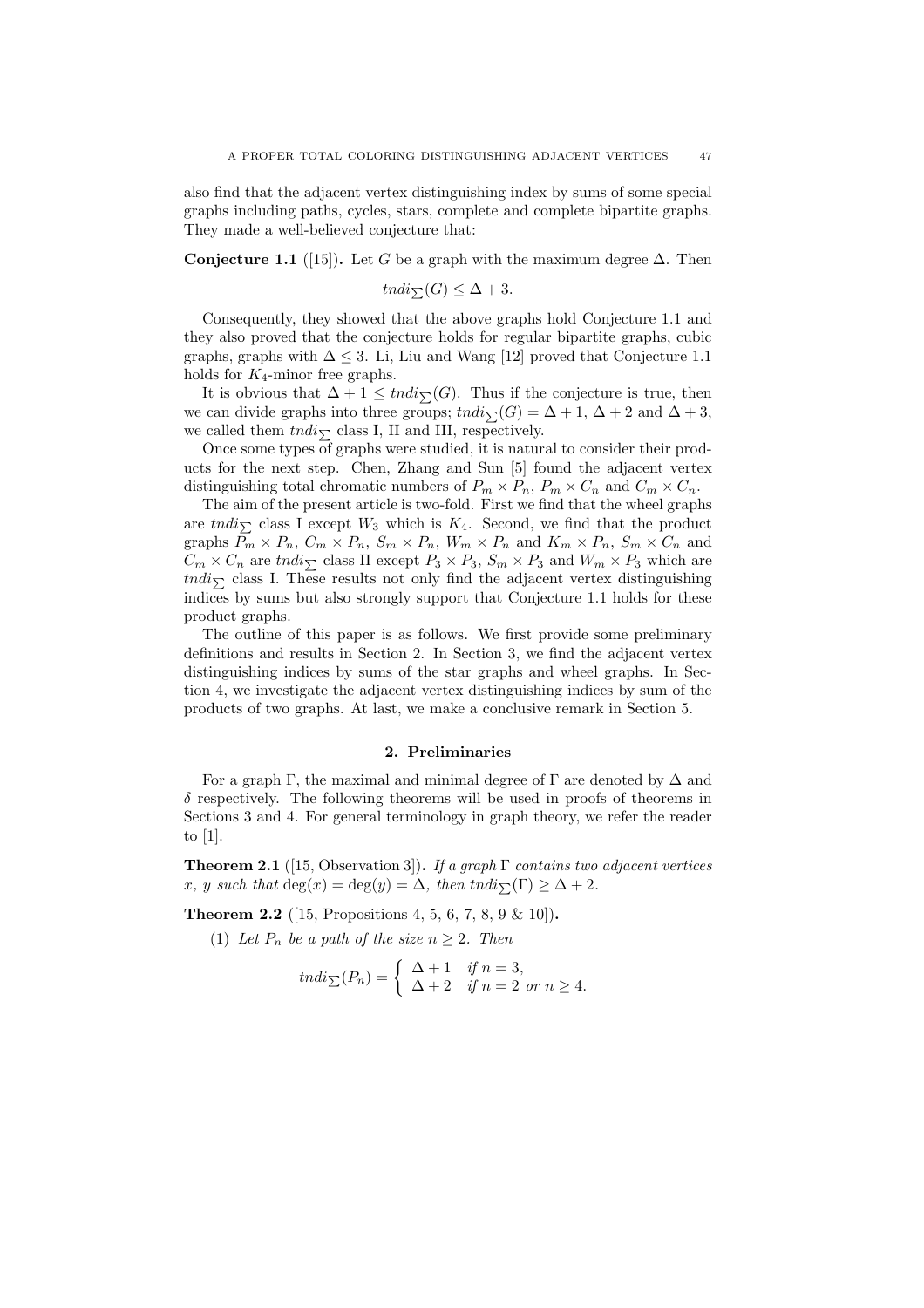also find that the adjacent vertex distinguishing index by sums of some special graphs including paths, cycles, stars, complete and complete bipartite graphs. They made a well-believed conjecture that:

Conjecture 1.1 ([15]). Let G be a graph with the maximum degree  $\Delta$ . Then

$$
tndi_{\sum}(G) \leq \Delta + 3.
$$

Consequently, they showed that the above graphs hold Conjecture 1.1 and they also proved that the conjecture holds for regular bipartite graphs, cubic graphs, graphs with  $\Delta \leq 3$ . Li, Liu and Wang [12] proved that Conjecture 1.1 holds for  $K_4$ -minor free graphs.

It is obvious that  $\Delta + 1 \leq tndi_{\sum}(G)$ . Thus if the conjecture is true, then we can divide graphs into three groups;  $tndi_{\sum}(G) = \Delta + 1$ ,  $\Delta + 2$  and  $\Delta + 3$ , we called them  $tndi_{\sum}$  class I, II and III, respectively.

Once some types of graphs were studied, it is natural to consider their products for the next step. Chen, Zhang and Sun [5] found the adjacent vertex distinguishing total chromatic numbers of  $P_m \times P_n$ ,  $P_m \times C_n$  and  $C_m \times C_n$ .

The aim of the present article is two-fold. First we find that the wheel graphs are  $tndi_{\sum}$  class I except  $W_3$  which is  $K_4$ . Second, we find that the product graphs  $P_m \times P_n$ ,  $C_m \times P_n$ ,  $S_m \times P_n$ ,  $W_m \times P_n$  and  $K_m \times P_n$ ,  $S_m \times C_n$  and  $C_m \times C_n$  are tndi<sub>N</sub> class II except  $P_3 \times P_3$ ,  $S_m \times P_3$  and  $W_m \times P_3$  which are tndi<sub> $\bar{p}$ </sub> class I. These results not only find the adjacent vertex distinguishing indices by sums but also strongly support that Conjecture 1.1 holds for these product graphs.

The outline of this paper is as follows. We first provide some preliminary definitions and results in Section 2. In Section 3, we find the adjacent vertex distinguishing indices by sums of the star graphs and wheel graphs. In Section 4, we investigate the adjacent vertex distinguishing indices by sum of the products of two graphs. At last, we make a conclusive remark in Section 5.

#### 2. Preliminaries

For a graph Γ, the maximal and minimal degree of Γ are denoted by  $\Delta$  and  $\delta$  respectively. The following theorems will be used in proofs of theorems in Sections 3 and 4. For general terminology in graph theory, we refer the reader to [1].

**Theorem 2.1** ([15, Observation 3]). If a graph  $\Gamma$  contains two adjacent vertices x, y such that  $deg(x) = deg(y) = \Delta$ , then tndi $\sum(\Gamma) \geq \Delta + 2$ .

**Theorem 2.2** ([15, Propositions 4, 5, 6, 7, 8, 9 & 10]).

(1) Let  $P_n$  be a path of the size  $n \geq 2$ . Then

$$
tndi_{\sum}(P_n) = \begin{cases} \Delta + 1 & \text{if } n = 3, \\ \Delta + 2 & \text{if } n = 2 \text{ or } n \ge 4. \end{cases}
$$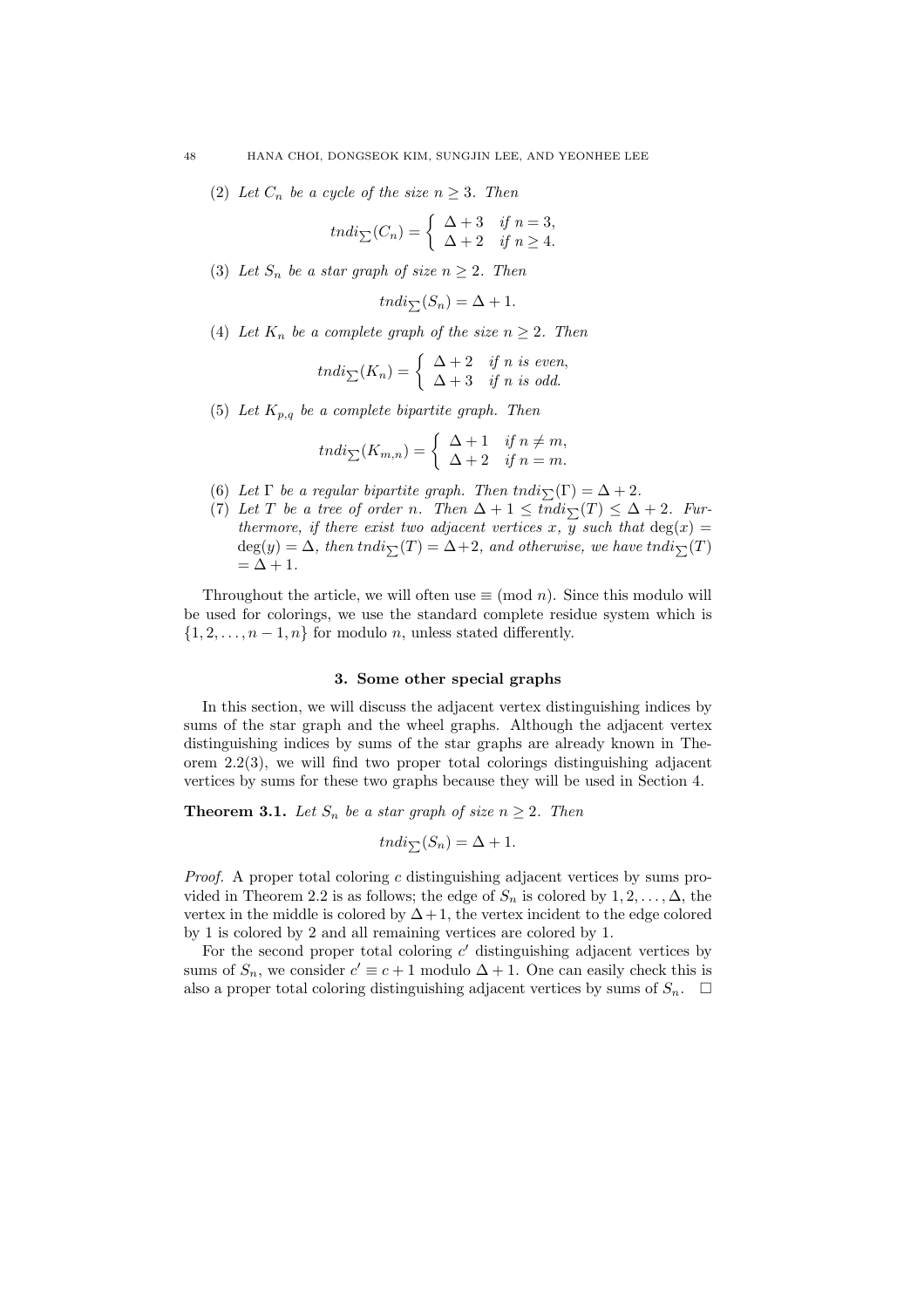(2) Let  $C_n$  be a cycle of the size  $n \geq 3$ . Then

$$
tndi_{\sum}(C_n) = \begin{cases} \Delta + 3 & \text{if } n = 3, \\ \Delta + 2 & \text{if } n \ge 4. \end{cases}
$$

(3) Let  $S_n$  be a star graph of size  $n \geq 2$ . Then

$$
tndi_{\sum}(S_n) = \Delta + 1.
$$

(4) Let  $K_n$  be a complete graph of the size  $n \geq 2$ . Then

$$
tndi_{\sum}(K_n) = \begin{cases} \Delta + 2 & \text{if } n \text{ is even,} \\ \Delta + 3 & \text{if } n \text{ is odd.} \end{cases}
$$

(5) Let  $K_{p,q}$  be a complete bipartite graph. Then

$$
tndi_{\sum}(K_{m,n}) = \begin{cases} \Delta + 1 & \text{if } n \neq m, \\ \Delta + 2 & \text{if } n = m. \end{cases}
$$

- (6) Let  $\Gamma$  be a regular bipartite graph. Then tndi $\sum(\Gamma) = \Delta + 2$ .
- (7) Let T be a tree of order n. Then  $\Delta + 1 \leq \overline{indi}_{\sum}(T) \leq \Delta + 2$ . Furthermore, if there exist two adjacent vertices x,  $\overline{y}$  such that  $deg(x) =$  $deg(y) = \Delta$ , then tndi $\overline{\Sigma}(T) = \Delta + 2$ , and otherwise, we have tndi $\overline{\Sigma}(T)$  $=\Delta + 1.$

Throughout the article, we will often use  $\equiv$  (mod *n*). Since this modulo will be used for colorings, we use the standard complete residue system which is  $\{1, 2, \ldots, n-1, n\}$  for modulo n, unless stated differently.

### 3. Some other special graphs

In this section, we will discuss the adjacent vertex distinguishing indices by sums of the star graph and the wheel graphs. Although the adjacent vertex distinguishing indices by sums of the star graphs are already known in Theorem  $2.2(3)$ , we will find two proper total colorings distinguishing adjacent vertices by sums for these two graphs because they will be used in Section 4.

**Theorem 3.1.** Let  $S_n$  be a star graph of size  $n \geq 2$ . Then

$$
tndi_{\sum}(S_n) = \Delta + 1.
$$

Proof. A proper total coloring c distinguishing adjacent vertices by sums provided in Theorem 2.2 is as follows; the edge of  $S_n$  is colored by  $1, 2, \ldots, \Delta$ , the vertex in the middle is colored by  $\Delta + 1$ , the vertex incident to the edge colored by 1 is colored by 2 and all remaining vertices are colored by 1.

For the second proper total coloring  $c'$  distinguishing adjacent vertices by sums of  $S_n$ , we consider  $c' \equiv c+1$  modulo  $\Delta + 1$ . One can easily check this is also a proper total coloring distinguishing adjacent vertices by sums of  $S_n$ .  $\Box$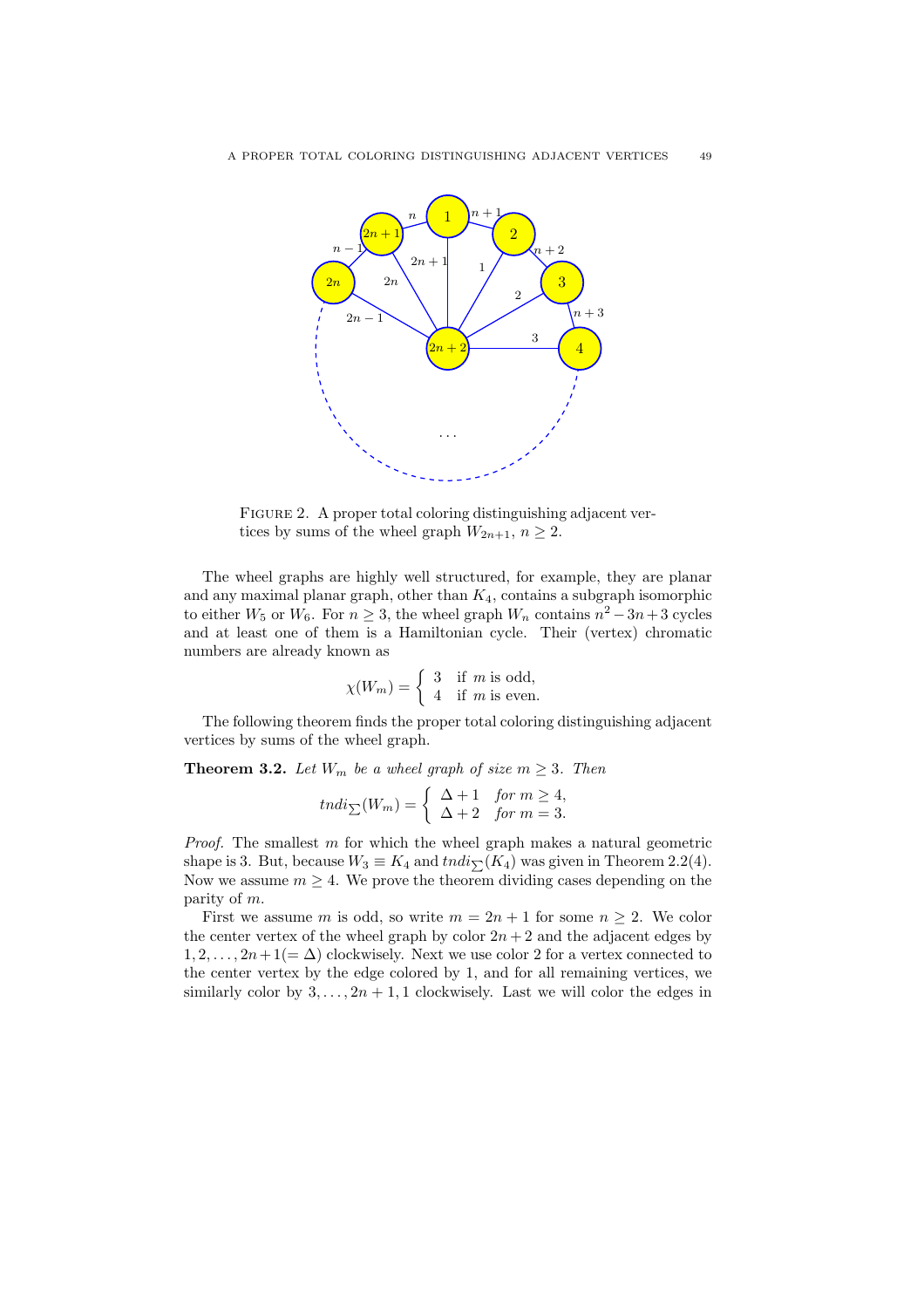

FIGURE 2. A proper total coloring distinguishing adjacent vertices by sums of the wheel graph  $W_{2n+1}$ ,  $n \geq 2$ .

The wheel graphs are highly well structured, for example, they are planar and any maximal planar graph, other than  $K_4$ , contains a subgraph isomorphic to either  $W_5$  or  $W_6$ . For  $n \geq 3$ , the wheel graph  $W_n$  contains  $n^2 - 3n + 3$  cycles and at least one of them is a Hamiltonian cycle. Their (vertex) chromatic numbers are already known as

$$
\chi(W_m) = \begin{cases} 3 & \text{if } m \text{ is odd,} \\ 4 & \text{if } m \text{ is even.} \end{cases}
$$

The following theorem finds the proper total coloring distinguishing adjacent vertices by sums of the wheel graph.

**Theorem 3.2.** Let  $W_m$  be a wheel graph of size  $m \geq 3$ . Then

$$
tndi_{\sum}(W_m) = \begin{cases} \Delta + 1 & \text{for } m \ge 4, \\ \Delta + 2 & \text{for } m = 3. \end{cases}
$$

*Proof.* The smallest  $m$  for which the wheel graph makes a natural geometric shape is 3. But, because  $W_3 \equiv K_4$  and  $tndi_{\sum}(K_4)$  was given in Theorem 2.2(4). Now we assume  $m \geq 4$ . We prove the theorem dividing cases depending on the parity of m.

First we assume m is odd, so write  $m = 2n + 1$  for some  $n \ge 2$ . We color the center vertex of the wheel graph by color  $2n + 2$  and the adjacent edges by  $1, 2, \ldots, 2n+1(=\Delta)$  clockwisely. Next we use color 2 for a vertex connected to the center vertex by the edge colored by 1, and for all remaining vertices, we similarly color by  $3, \ldots, 2n + 1, 1$  clockwisely. Last we will color the edges in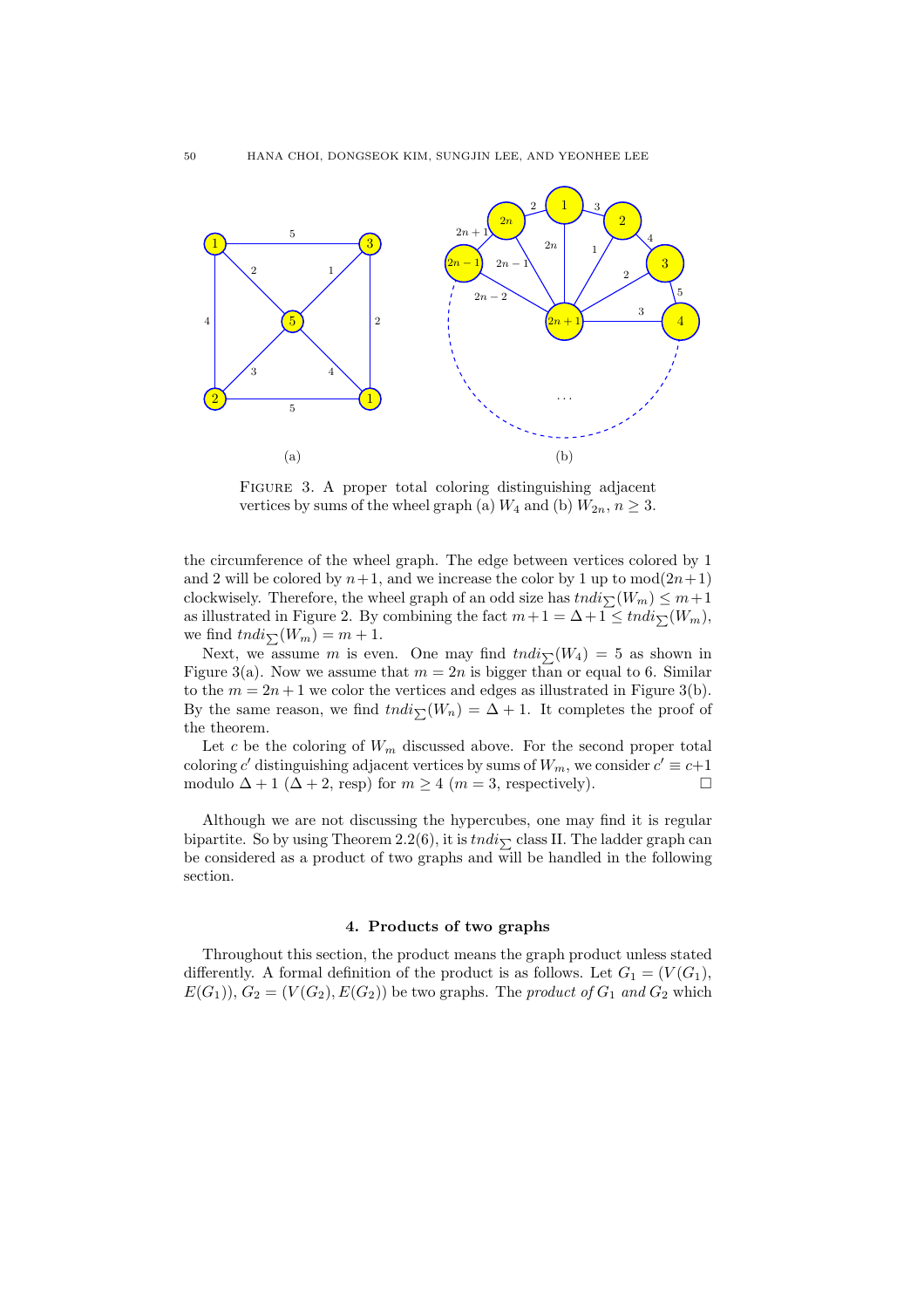

FIGURE 3. A proper total coloring distinguishing adjacent vertices by sums of the wheel graph (a)  $W_4$  and (b)  $W_{2n}$ ,  $n \geq 3$ .

the circumference of the wheel graph. The edge between vertices colored by 1 and 2 will be colored by  $n+1$ , and we increase the color by 1 up to  $mod(2n+1)$ clockwisely. Therefore, the wheel graph of an odd size has  $tndi_{\sum}(W_m) \leq m+1$ as illustrated in Figure 2. By combining the fact  $m + 1 = \Delta + 1 \leq t n \frac{di}{\sum} (W_m)$ , we find  $tndi_{\sum}(W_m) = m + 1$ .

Next, we assume m is even. One may find  $tndi_{\sum}(W_4) = 5$  as shown in Figure 3(a). Now we assume that  $m = 2n$  is bigger than or equal to 6. Similar to the  $m = 2n + 1$  we color the vertices and edges as illustrated in Figure 3(b). By the same reason, we find  $tndi_{\sum}(W_n) = \Delta + 1$ . It completes the proof of the theorem.

Let c be the coloring of  $W_m$  discussed above. For the second proper total coloring c' distinguishing adjacent vertices by sums of  $W_m$ , we consider  $c' \equiv c+1$ modulo  $\Delta + 1$  ( $\Delta + 2$ , resp) for  $m \geq 4$  ( $m = 3$ , respectively).

Although we are not discussing the hypercubes, one may find it is regular bipartite. So by using Theorem 2.2(6), it is  $tndi_{\sum}$  class II. The ladder graph can be considered as a product of two graphs and will be handled in the following section.

## 4. Products of two graphs

Throughout this section, the product means the graph product unless stated differently. A formal definition of the product is as follows. Let  $G_1 = (V(G_1),$  $E(G_1)$ ,  $G_2 = (V(G_2), E(G_2))$  be two graphs. The product of  $G_1$  and  $G_2$  which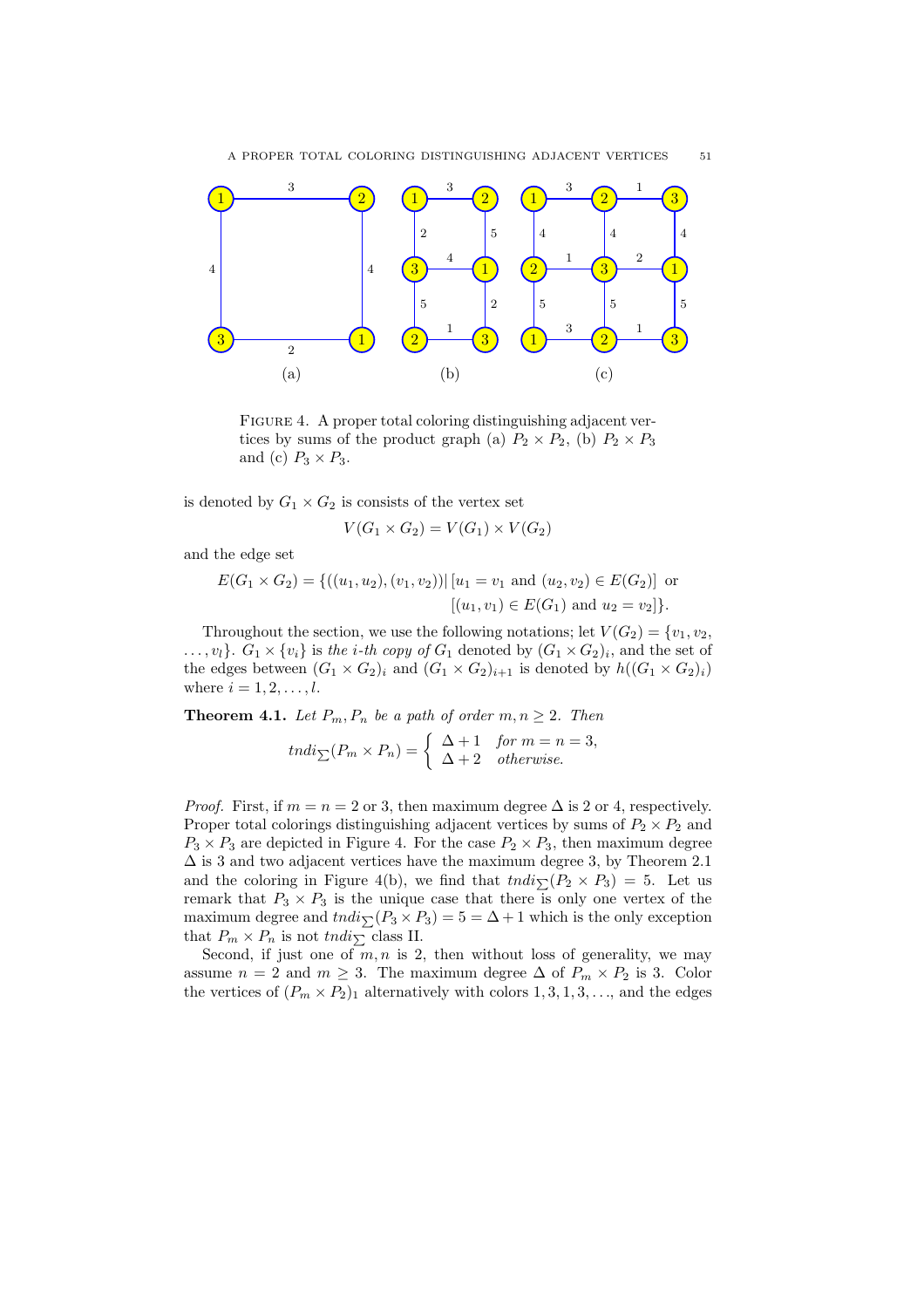

FIGURE 4. A proper total coloring distinguishing adjacent vertices by sums of the product graph (a)  $P_2 \times P_2$ , (b)  $P_2 \times P_3$ and (c)  $P_3 \times P_3$ .

is denoted by  $G_1 \times G_2$  is consists of the vertex set

$$
V(G_1 \times G_2) = V(G_1) \times V(G_2)
$$

and the edge set

$$
E(G_1 \times G_2) = \{((u_1, u_2), (v_1, v_2)) | [u_1 = v_1 \text{ and } (u_2, v_2) \in E(G_2)] \text{ or } [(u_1, v_1) \in E(G_1) \text{ and } u_2 = v_2] \}.
$$

Throughout the section, we use the following notations; let  $V(G_2) = \{v_1, v_2,$  $\ldots, v_l\}$ .  $G_1 \times \{v_i\}$  is the *i*-th copy of  $G_1$  denoted by  $(G_1 \times G_2)_i$ , and the set of the edges between  $(G_1 \times G_2)_i$  and  $(G_1 \times G_2)_{i+1}$  is denoted by  $h((G_1 \times G_2)_i)$ where  $i = 1, 2, \ldots, l$ .

**Theorem 4.1.** Let  $P_m$ ,  $P_n$  be a path of order  $m, n \geq 2$ . Then

$$
tndi_{\sum}(P_m \times P_n) = \begin{cases} \Delta + 1 & \text{for } m = n = 3, \\ \Delta + 2 & \text{otherwise.} \end{cases}
$$

*Proof.* First, if  $m = n = 2$  or 3, then maximum degree  $\Delta$  is 2 or 4, respectively. Proper total colorings distinguishing adjacent vertices by sums of  $P_2 \times P_2$  and  $P_3 \times P_3$  are depicted in Figure 4. For the case  $P_2 \times P_3$ , then maximum degree  $\Delta$  is 3 and two adjacent vertices have the maximum degree 3, by Theorem 2.1 and the coloring in Figure 4(b), we find that  $tndi_{\sum}(P_2 \times P_3) = 5$ . Let us remark that  $P_3 \times P_3$  is the unique case that there is only one vertex of the maximum degree and  $tndi_{\sum}(P_3 \times P_3) = 5 = \Delta + 1$  which is the only exception that  $P_m \times P_n$  is not tndi<sub>P</sub> class II.

Second, if just one of  $m, n$  is 2, then without loss of generality, we may assume  $n = 2$  and  $m \geq 3$ . The maximum degree  $\Delta$  of  $P_m \times P_2$  is 3. Color the vertices of  $(P_m \times P_2)_1$  alternatively with colors  $1, 3, 1, 3, \ldots$ , and the edges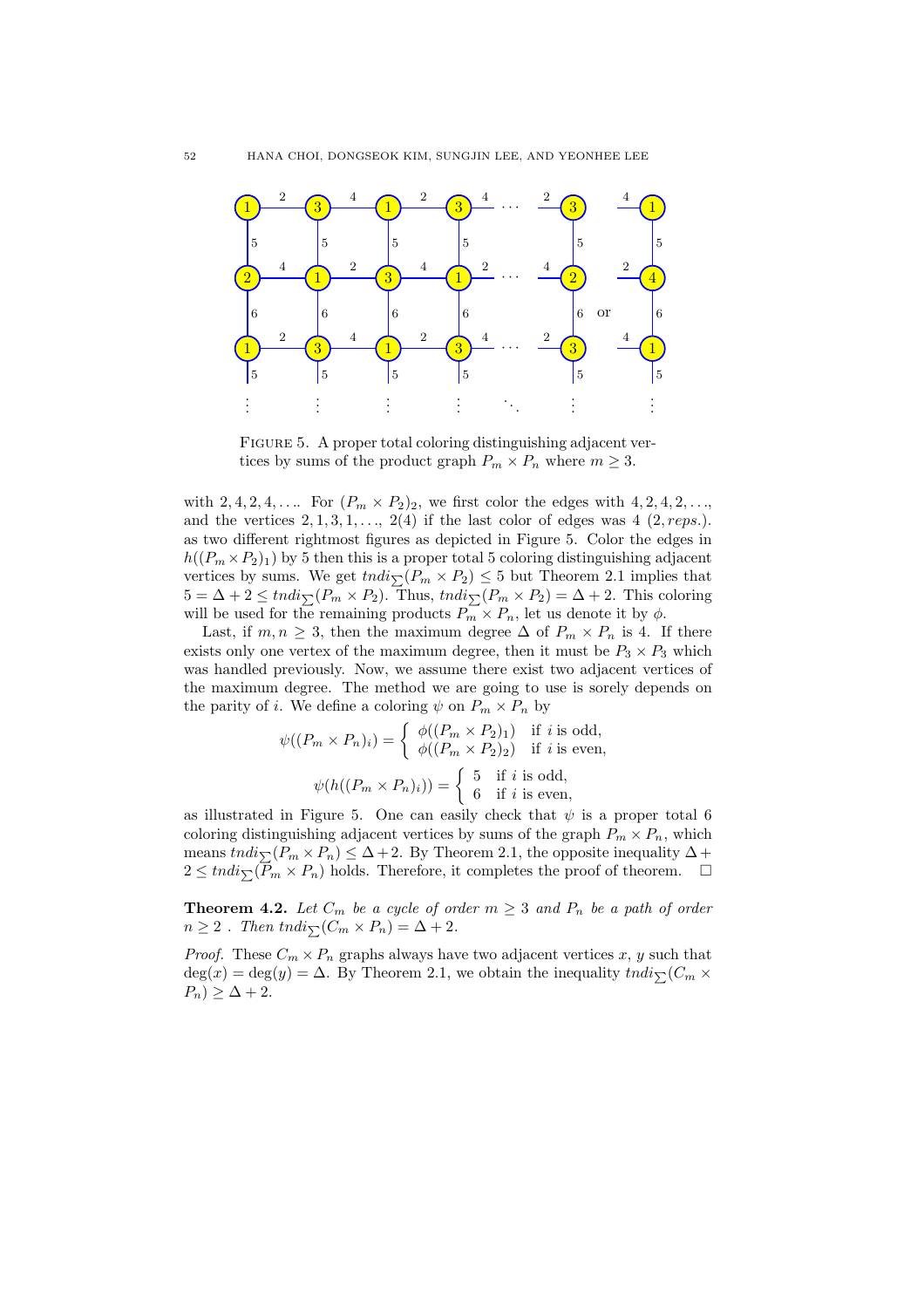

FIGURE 5. A proper total coloring distinguishing adjacent vertices by sums of the product graph  $P_m \times P_n$  where  $m \geq 3$ .

with 2, 4, 2, 4, .... For  $(P_m \times P_2)_2$ , we first color the edges with 4, 2, 4, 2, ..., and the vertices  $2, 1, 3, 1, \ldots, 2(4)$  if the last color of edges was  $4$  (2, *reps*.). as two different rightmost figures as depicted in Figure 5. Color the edges in  $h((P_m \times P_2)_1)$  by 5 then this is a proper total 5 coloring distinguishing adjacent vertices by sums. We get  $\text{tndi}_{\sum}(P_m \times P_2) \leq 5$  but Theorem 2.1 implies that  $5 = \Delta + 2 \leq t n \frac{di}{\sum} (P_m \times P_2)$ . Thus,  $t n \frac{di}{\sum} (P_m \times P_2) = \Delta + 2$ . This coloring will be used for the remaining products  $P_m \times P_n$ , let us denote it by  $\phi$ .

Last, if  $m, n \geq 3$ , then the maximum degree  $\Delta$  of  $P_m \times P_n$  is 4. If there exists only one vertex of the maximum degree, then it must be  $P_3 \times P_3$  which was handled previously. Now, we assume there exist two adjacent vertices of the maximum degree. The method we are going to use is sorely depends on the parity of *i*. We define a coloring  $\psi$  on  $P_m \times P_n$  by

$$
\psi((P_m \times P_n)_i) = \begin{cases} \phi((P_m \times P_2)_1) & \text{if } i \text{ is odd,} \\ \phi((P_m \times P_2)_2) & \text{if } i \text{ is even,} \end{cases}
$$

$$
\psi(h((P_m \times P_n)_i)) = \begin{cases} 5 & \text{if } i \text{ is odd,} \\ 6 & \text{if } i \text{ is even,} \end{cases}
$$

as illustrated in Figure 5. One can easily check that  $\psi$  is a proper total 6 coloring distinguishing adjacent vertices by sums of the graph  $P_m \times P_n$ , which means  $tndi_{\sum}(P_m \times P_n) \leq \Delta + 2$ . By Theorem 2.1, the opposite inequality  $\Delta +$  $2 \leq tndi_{\sum}(\overline{P}_m \times P_n)$  holds. Therefore, it completes the proof of theorem.  $\Box$ 

**Theorem 4.2.** Let  $C_m$  be a cycle of order  $m \geq 3$  and  $P_n$  be a path of order  $n \geq 2$ . Then tndi $\sqrt{(C_m \times P_n)} = \Delta + 2$ .

*Proof.* These  $C_m \times P_n$  graphs always have two adjacent vertices x, y such that  $deg(x) = deg(y) = \Delta$ . By Theorem 2.1, we obtain the inequality  $tndi_{\sum}(C_m \times$  $P_n) \geq \Delta + 2.$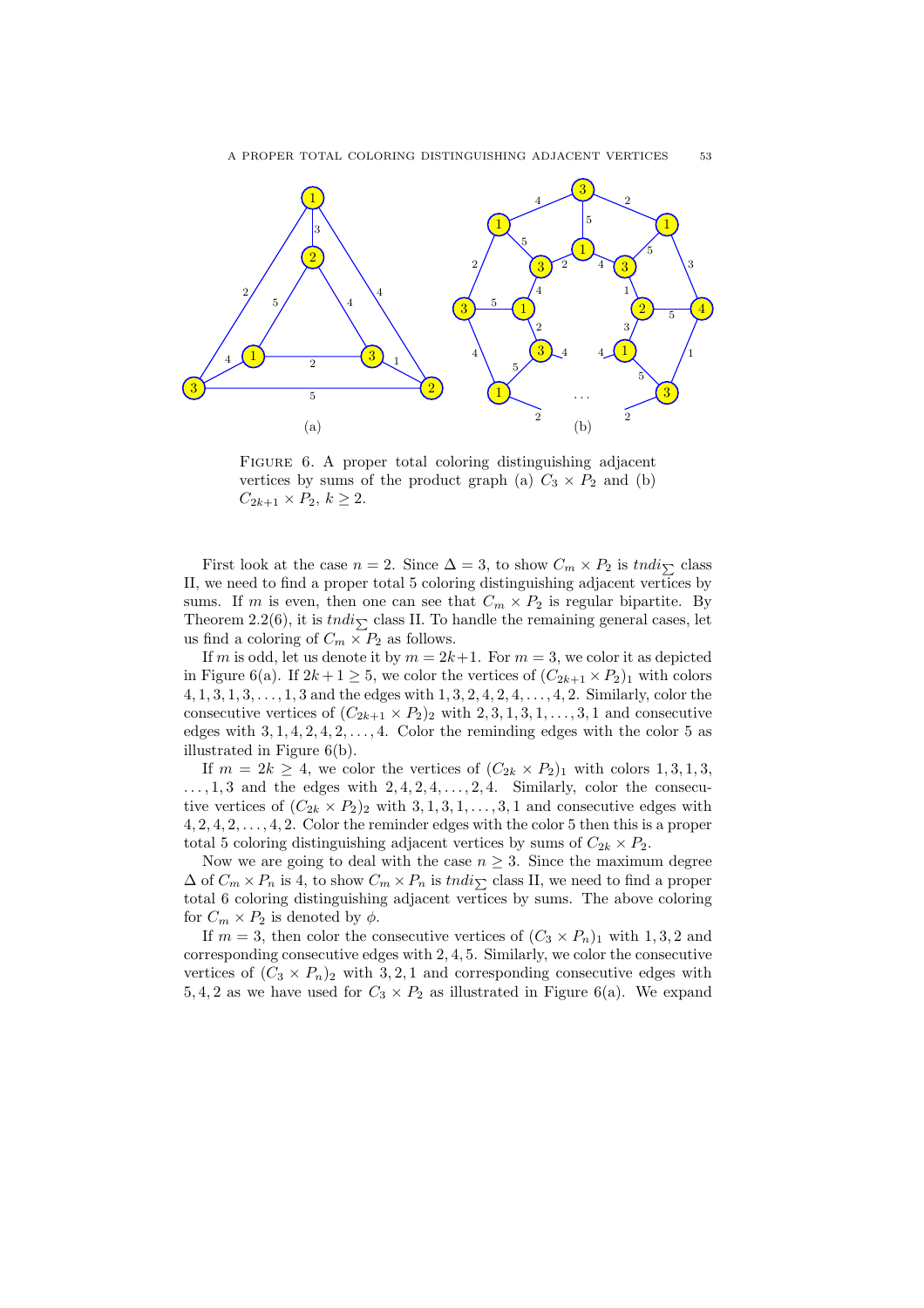

FIGURE 6. A proper total coloring distinguishing adjacent vertices by sums of the product graph (a)  $C_3 \times P_2$  and (b)  $C_{2k+1} \times P_2, k \geq 2.$ 

First look at the case  $n = 2$ . Since  $\Delta = 3$ , to show  $C_m \times P_2$  is  $tndi_{\sum}$  class II, we need to find a proper total 5 coloring distinguishing adjacent vertices by sums. If m is even, then one can see that  $C_m \times P_2$  is regular bipartite. By Theorem 2.2(6), it is  $tndi_{\nabla}$  class II. To handle the remaining general cases, let us find a coloring of  $C_m \times P_2$  as follows.

If m is odd, let us denote it by  $m = 2k+1$ . For  $m = 3$ , we color it as depicted in Figure 6(a). If  $2k+1 \geq 5$ , we color the vertices of  $(C_{2k+1} \times P_2)_1$  with colors  $4, 1, 3, 1, 3, \ldots, 1, 3$  and the edges with  $1, 3, 2, 4, 2, 4, \ldots, 4, 2$ . Similarly, color the consecutive vertices of  $(C_{2k+1} \times P_2)_2$  with  $2, 3, 1, 3, 1, \ldots, 3, 1$  and consecutive edges with  $3, 1, 4, 2, 4, 2, \ldots, 4$ . Color the reminding edges with the color 5 as illustrated in Figure 6(b).

If  $m = 2k \geq 4$ , we color the vertices of  $(C_{2k} \times P_2)_1$  with colors 1, 3, 1, 3,  $\dots, 1, 3$  and the edges with  $2, 4, 2, 4, \dots, 2, 4$ . Similarly, color the consecutive vertices of  $(C_{2k} \times P_2)_2$  with  $3, 1, 3, 1, \ldots, 3, 1$  and consecutive edges with  $4, 2, 4, 2, \ldots, 4, 2$ . Color the reminder edges with the color 5 then this is a proper total 5 coloring distinguishing adjacent vertices by sums of  $C_{2k} \times P_2$ .

Now we are going to deal with the case  $n \geq 3$ . Since the maximum degree  $\Delta$  of  $C_m \times P_n$  is 4, to show  $C_m \times P_n$  is tndi<sub>N</sub> class II, we need to find a proper total 6 coloring distinguishing adjacent vertices by sums. The above coloring for  $C_m \times P_2$  is denoted by  $\phi$ .

If  $m = 3$ , then color the consecutive vertices of  $(C_3 \times P_n)_1$  with 1, 3, 2 and corresponding consecutive edges with 2, 4, 5. Similarly, we color the consecutive vertices of  $(C_3 \times P_n)_2$  with 3,2,1 and corresponding consecutive edges with 5, 4, 2 as we have used for  $C_3 \times P_2$  as illustrated in Figure 6(a). We expand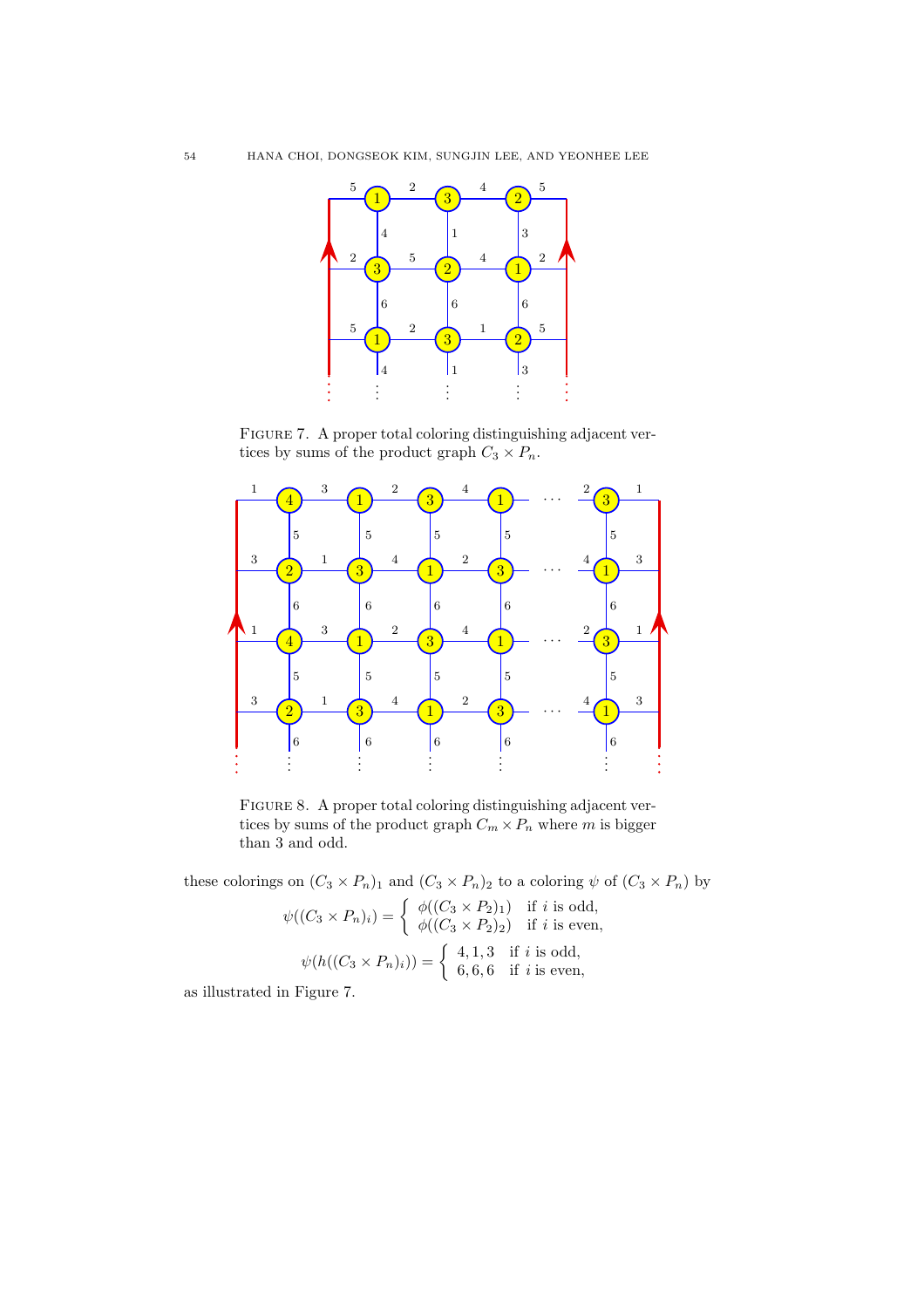

FIGURE 7. A proper total coloring distinguishing adjacent vertices by sums of the product graph  $C_3 \times P_n$ .



FIGURE 8. A proper total coloring distinguishing adjacent vertices by sums of the product graph  $C_m \times P_n$  where m is bigger than 3 and odd.

these colorings on  $(C_3 \times P_n)_1$  and  $(C_3 \times P_n)_2$  to a coloring  $\psi$  of  $(C_3 \times P_n)$  by

$$
\psi((C_3 \times P_n)_i) = \begin{cases} \phi((C_3 \times P_2)_1) & \text{if } i \text{ is odd,} \\ \phi((C_3 \times P_2)_2) & \text{if } i \text{ is even,} \end{cases}
$$

$$
\psi(h((C_3 \times P_n)_i)) = \begin{cases} 4, 1, 3 & \text{if } i \text{ is odd,} \\ 6, 6, 6 & \text{if } i \text{ is even,} \end{cases}
$$

as illustrated in Figure 7.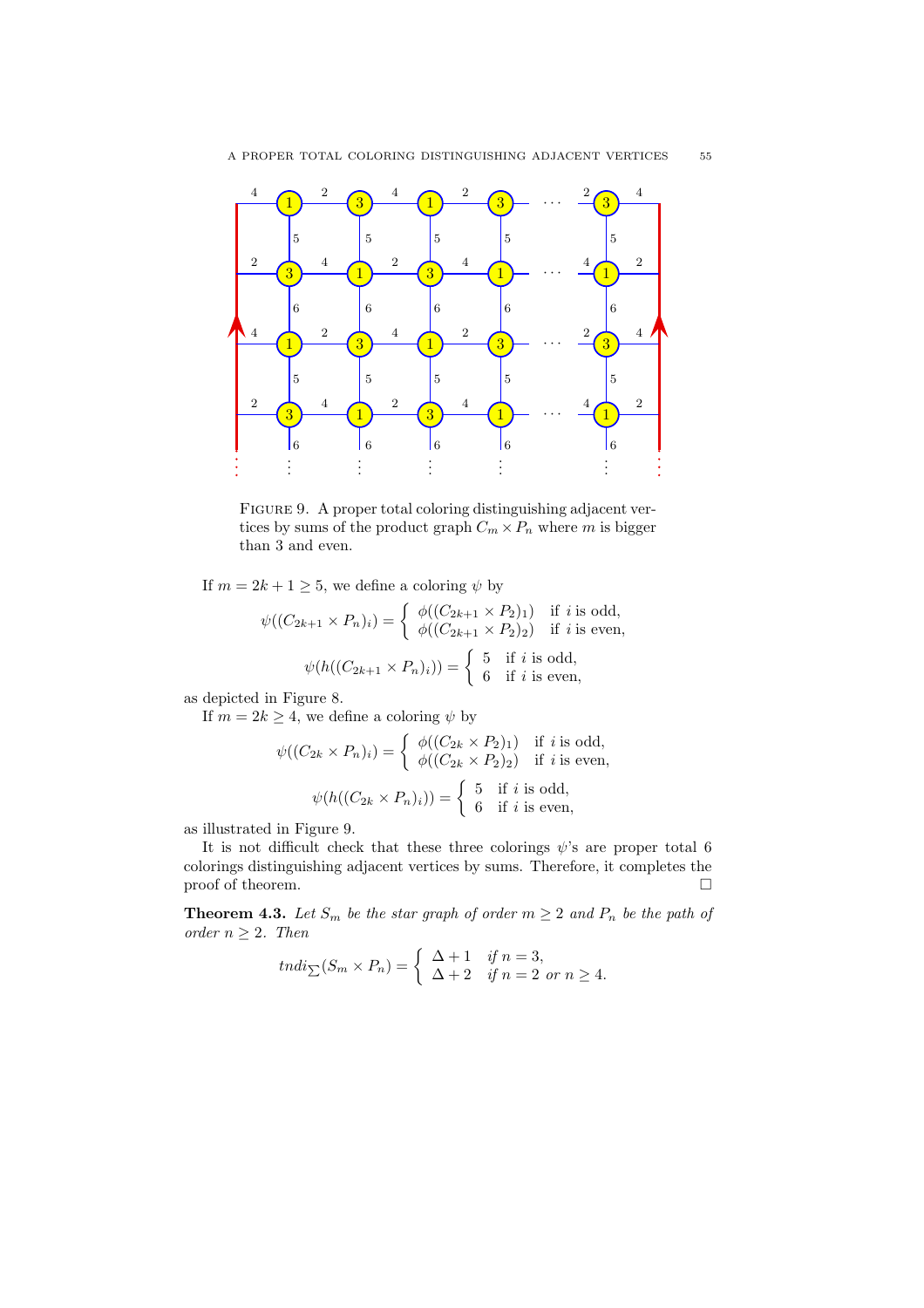

FIGURE 9. A proper total coloring distinguishing adjacent vertices by sums of the product graph  $C_m \times P_n$  where m is bigger than 3 and even.

If  $m = 2k + 1 \geq 5$ , we define a coloring  $\psi$  by

$$
\psi((C_{2k+1} \times P_n)_i) = \begin{cases} \phi((C_{2k+1} \times P_2)_1) & \text{if } i \text{ is odd,} \\ \phi((C_{2k+1} \times P_2)_2) & \text{if } i \text{ is even,} \end{cases}
$$

$$
\psi(h((C_{2k+1} \times P_n)_i)) = \begin{cases} 5 & \text{if } i \text{ is odd,} \\ 6 & \text{if } i \text{ is even,} \end{cases}
$$

as depicted in Figure 8.

If  $m = 2k \geq 4$ , we define a coloring  $\psi$  by

$$
\psi((C_{2k} \times P_n)_i) = \begin{cases} \phi((C_{2k} \times P_2)_1) & \text{if } i \text{ is odd,} \\ \phi((C_{2k} \times P_2)_2) & \text{if } i \text{ is even,} \end{cases}
$$

$$
\psi(h((C_{2k} \times P_n)_i)) = \begin{cases} 5 & \text{if } i \text{ is odd,} \\ 6 & \text{if } i \text{ is even,} \end{cases}
$$

as illustrated in Figure 9.

It is not difficult check that these three colorings  $\psi$ 's are proper total 6 colorings distinguishing adjacent vertices by sums. Therefore, it completes the proof of theorem.  $\hfill \square$ 

**Theorem 4.3.** Let  $S_m$  be the star graph of order  $m \geq 2$  and  $P_n$  be the path of order  $n \geq 2$ . Then

$$
tndi_{\sum}(S_m \times P_n) = \begin{cases} \Delta + 1 & \text{if } n = 3, \\ \Delta + 2 & \text{if } n = 2 \text{ or } n \ge 4. \end{cases}
$$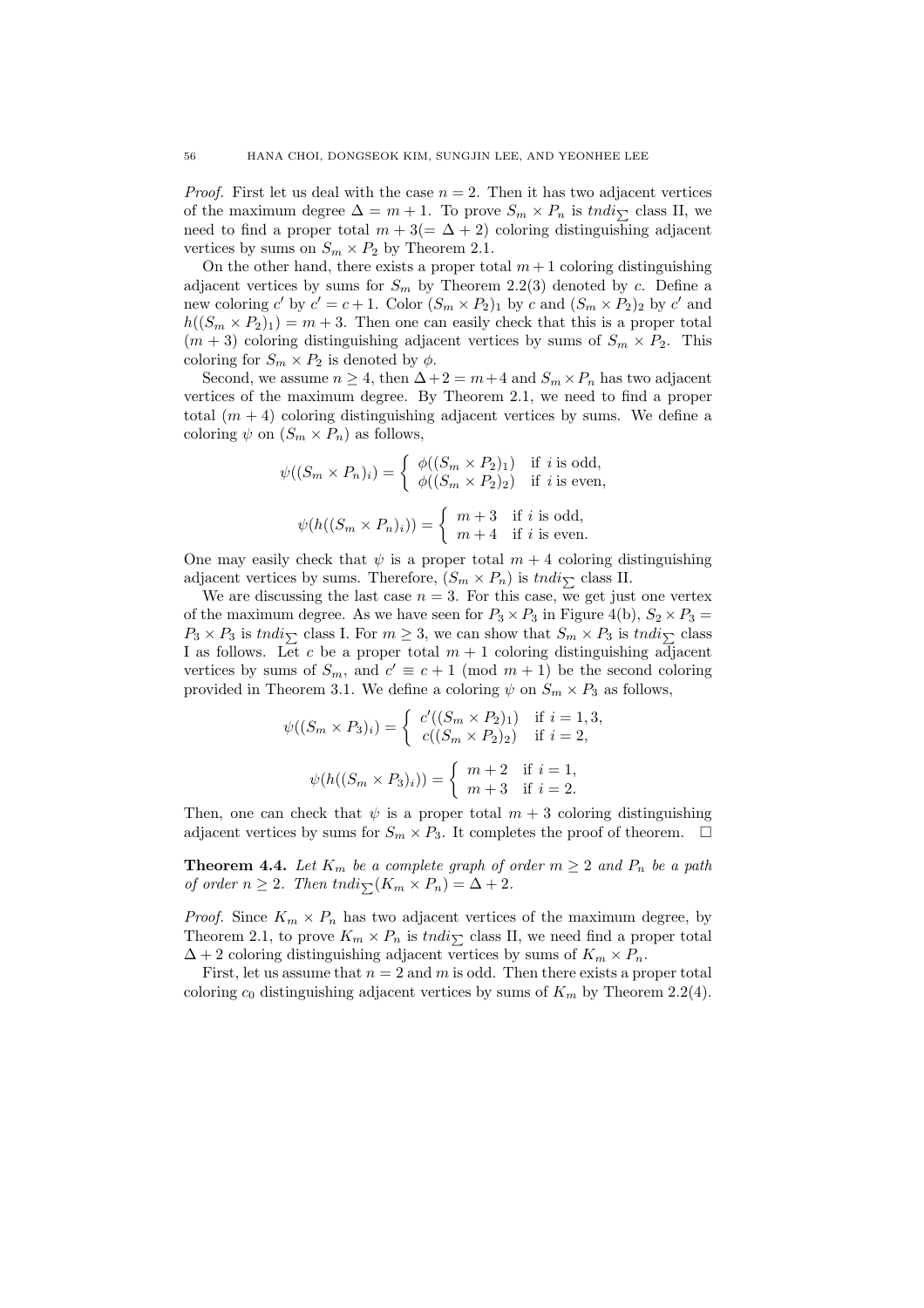*Proof.* First let us deal with the case  $n = 2$ . Then it has two adjacent vertices of the maximum degree  $\Delta = m + 1$ . To prove  $S_m \times P_n$  is  $tndi_{\sum}$  class II, we need to find a proper total  $m + 3(=\Delta + 2)$  coloring distinguishing adjacent vertices by sums on  $S_m \times P_2$  by Theorem 2.1.

On the other hand, there exists a proper total  $m + 1$  coloring distinguishing adjacent vertices by sums for  $S_m$  by Theorem 2.2(3) denoted by c. Define a new coloring  $c'$  by  $c' = c + 1$ . Color  $(S_m \times P_2)_1$  by  $c$  and  $(S_m \times P_2)_2$  by  $c'$  and  $h((S_m \times P_2)_1) = m + 3$ . Then one can easily check that this is a proper total  $(m + 3)$  coloring distinguishing adjacent vertices by sums of  $S_m \times P_2$ . This coloring for  $S_m \times P_2$  is denoted by  $\phi$ .

Second, we assume  $n \geq 4$ , then  $\Delta + 2 = m + 4$  and  $S_m \times P_n$  has two adjacent vertices of the maximum degree. By Theorem 2.1, we need to find a proper total  $(m + 4)$  coloring distinguishing adjacent vertices by sums. We define a coloring  $\psi$  on  $(S_m \times P_n)$  as follows,

$$
\psi((S_m \times P_n)_i) = \begin{cases} \phi((S_m \times P_2)_1) & \text{if } i \text{ is odd,} \\ \phi((S_m \times P_2)_2) & \text{if } i \text{ is even,} \end{cases}
$$

$$
\psi(h((S_m \times P_n)_i)) = \begin{cases} m+3 & \text{if } i \text{ is odd,} \\ m+4 & \text{if } i \text{ is even.} \end{cases}
$$

One may easily check that  $\psi$  is a proper total  $m + 4$  coloring distinguishing adjacent vertices by sums. Therefore,  $(S_m \times P_n)$  is  $tndi_{\sum}$  class II.

We are discussing the last case  $n = 3$ . For this case, we get just one vertex of the maximum degree. As we have seen for  $P_3 \times P_3$  in Figure 4(b),  $S_2 \times P_3$  =  $P_3 \times P_3$  is tndi<sub>N</sub> class I. For  $m \geq 3$ , we can show that  $S_m \times P_3$  is tndi<sub>N</sub> class I as follows. Let c be a proper total  $m + 1$  coloring distinguishing adjacent vertices by sums of  $S_m$ , and  $c' \equiv c + 1 \pmod{m+1}$  be the second coloring provided in Theorem 3.1. We define a coloring  $\psi$  on  $S_m \times P_3$  as follows,

$$
\psi((S_m \times P_3)_i) = \begin{cases} c'((S_m \times P_2)_1) & \text{if } i = 1, 3, \\ c((S_m \times P_2)_2) & \text{if } i = 2, \end{cases}
$$

$$
\psi(h((S_m \times P_3)_i)) = \begin{cases} m+2 & \text{if } i = 1, \\ m+3 & \text{if } i = 2. \end{cases}
$$

Then, one can check that  $\psi$  is a proper total  $m + 3$  coloring distinguishing adjacent vertices by sums for  $S_m \times P_3$ . It completes the proof of theorem.  $\Box$ 

**Theorem 4.4.** Let  $K_m$  be a complete graph of order  $m \geq 2$  and  $P_n$  be a path of order  $n \geq 2$ . Then tndi $\sum (K_m \times P_n) = \Delta + 2$ .

*Proof.* Since  $K_m \times P_n$  has two adjacent vertices of the maximum degree, by Theorem 2.1, to prove  $K_m \times P_n$  is tndi<sub>P</sub> class II, we need find a proper total  $\Delta + 2$  coloring distinguishing adjacent vertices by sums of  $K_m \times P_n$ .

First, let us assume that  $n = 2$  and m is odd. Then there exists a proper total coloring  $c_0$  distinguishing adjacent vertices by sums of  $K_m$  by Theorem 2.2(4).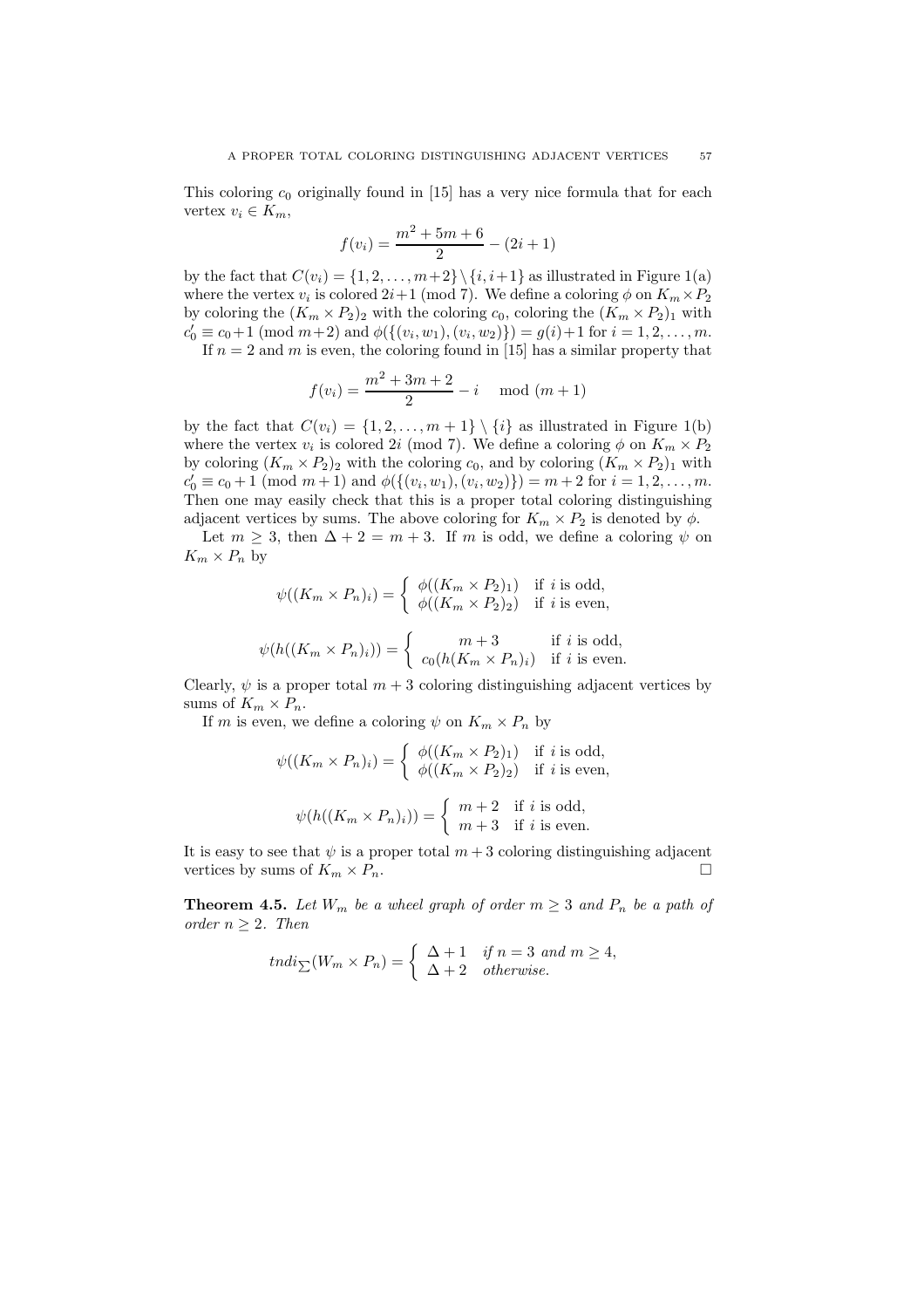This coloring  $c_0$  originally found in [15] has a very nice formula that for each vertex  $v_i \in K_m$ ,

$$
f(v_i) = \frac{m^2 + 5m + 6}{2} - (2i + 1)
$$

by the fact that  $C(v_i) = \{1, 2, ..., m+2\} \setminus \{i, i+1\}$  as illustrated in Figure 1(a) where the vertex  $v_i$  is colored  $2i+1$  (mod 7). We define a coloring  $\phi$  on  $K_m \times P_2$ by coloring the  $(K_m \times P_2)_2$  with the coloring  $c_0$ , coloring the  $(K_m \times P_2)_1$  with  $c'_0 \equiv c_0+1 \pmod{m+2}$  and  $\phi(\{(v_i,w_1),(v_i,w_2)\}) = g(i)+1$  for  $i = 1,2,\ldots,m$ . If  $n = 2$  and m is even, the coloring found in [15] has a similar property that

$$
f(v_i) = \frac{m^2 + 3m + 2}{2} - i \mod (m+1)
$$

by the fact that  $C(v_i) = \{1, 2, ..., m+1\} \setminus \{i\}$  as illustrated in Figure 1(b) where the vertex  $v_i$  is colored 2i (mod 7). We define a coloring  $\phi$  on  $K_m \times P_2$ by coloring  $(K_m \times P_2)_2$  with the coloring  $c_0$ , and by coloring  $(K_m \times P_2)_1$  with  $c'_0 \equiv c_0 + 1 \pmod{m+1}$  and  $\phi(\{(v_i, w_1), (v_i, w_2)\}) = m+2$  for  $i = 1, 2, ..., m$ . Then one may easily check that this is a proper total coloring distinguishing adjacent vertices by sums. The above coloring for  $K_m \times P_2$  is denoted by  $\phi$ .

Let  $m \geq 3$ , then  $\Delta + 2 = m + 3$ . If m is odd, we define a coloring  $\psi$  on  $K_m \times P_n$  by

$$
\psi((K_m \times P_n)_i) = \begin{cases} \phi((K_m \times P_2)_1) & \text{if } i \text{ is odd,} \\ \phi((K_m \times P_2)_2) & \text{if } i \text{ is even,} \end{cases}
$$

$$
\psi(h((K_m \times P_n)_i)) = \begin{cases} m+3 & \text{if } i \text{ is odd,} \\ c_0(h(K_m \times P_n)_i) & \text{if } i \text{ is even.} \end{cases}
$$

Clearly,  $\psi$  is a proper total  $m + 3$  coloring distinguishing adjacent vertices by sums of  $K_m \times P_n$ .

If m is even, we define a coloring  $\psi$  on  $K_m \times P_n$  by

$$
\psi((K_m \times P_n)_i) = \begin{cases} \phi((K_m \times P_2)_1) & \text{if } i \text{ is odd,} \\ \phi((K_m \times P_2)_2) & \text{if } i \text{ is even,} \end{cases}
$$

$$
\psi(h((K_m \times P_n)_i)) = \begin{cases} m+2 & \text{if } i \text{ is odd,} \\ m+3 & \text{if } i \text{ is even.} \end{cases}
$$

It is easy to see that  $\psi$  is a proper total  $m+3$  coloring distinguishing adjacent vertices by sums of  $K_m \times P_n$ .

**Theorem 4.5.** Let  $W_m$  be a wheel graph of order  $m \geq 3$  and  $P_n$  be a path of order  $n > 2$ . Then

$$
tndi_{\sum}(W_m \times P_n) = \begin{cases} \Delta + 1 & \text{if } n = 3 \text{ and } m \ge 4, \\ \Delta + 2 & \text{otherwise.} \end{cases}
$$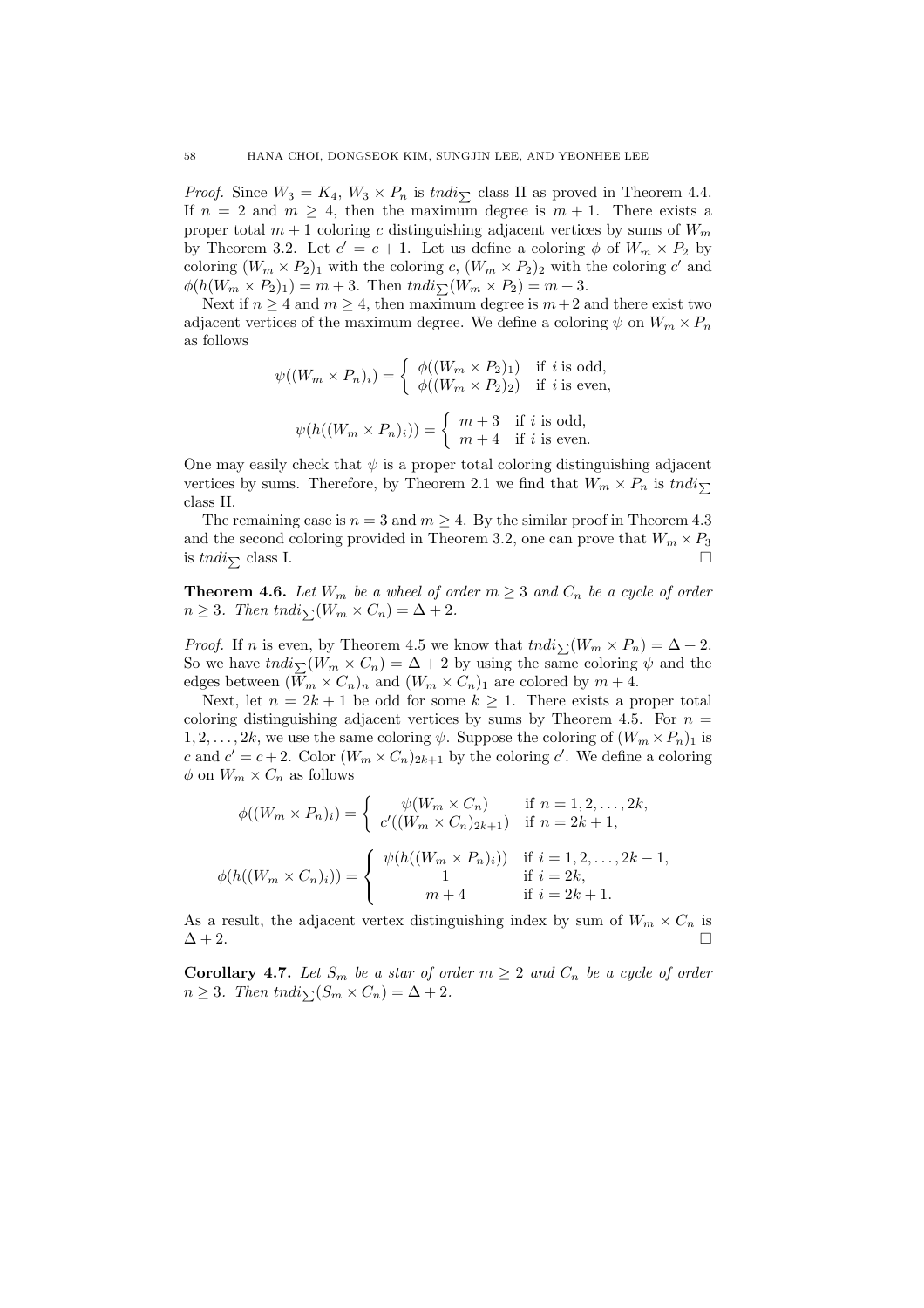*Proof.* Since  $W_3 = K_4$ ,  $W_3 \times P_n$  is tndi<sub> $\sum$ </sub> class II as proved in Theorem 4.4. If  $n = 2$  and  $m \geq 4$ , then the maximum degree is  $m + 1$ . There exists a proper total  $m + 1$  coloring c distinguishing adjacent vertices by sums of  $W_m$ by Theorem 3.2. Let  $c' = c + 1$ . Let us define a coloring  $\phi$  of  $W_m \times P_2$  by coloring  $(W_m \times P_2)_1$  with the coloring c,  $(W_m \times P_2)_2$  with the coloring c' and  $\phi(h(W_m \times P_2)_1) = m + 3.$  Then  $tndi\gamma(W_m \times P_2) = m + 3.$ 

Next if  $n \geq 4$  and  $m \geq 4$ , then maximum degree is  $m+2$  and there exist two adjacent vertices of the maximum degree. We define a coloring  $\psi$  on  $W_m \times P_n$ as follows

$$
\psi((W_m \times P_n)_i) = \begin{cases} \phi((W_m \times P_2)_1) & \text{if } i \text{ is odd,} \\ \phi((W_m \times P_2)_2) & \text{if } i \text{ is even,} \end{cases}
$$

$$
\psi(h((W_m \times P_n)_i)) = \begin{cases} m+3 & \text{if } i \text{ is odd,} \\ m+4 & \text{if } i \text{ is even.} \end{cases}
$$

One may easily check that  $\psi$  is a proper total coloring distinguishing adjacent vertices by sums. Therefore, by Theorem 2.1 we find that  $W_m \times P_n$  is  $tndi_{\sum}$ class II.

The remaining case is  $n = 3$  and  $m \geq 4$ . By the similar proof in Theorem 4.3 and the second coloring provided in Theorem 3.2, one can prove that  $W_m \times P_3$ is  $tndi_{\sum}$  class I.

**Theorem 4.6.** Let  $W_m$  be a wheel of order  $m \geq 3$  and  $C_n$  be a cycle of order  $n \geq 3$ . Then tndi $\sum_{m} (W_m \times C_n) = \Delta + 2$ .

*Proof.* If n is even, by Theorem 4.5 we know that  $\text{tndi}_{\sum}(W_m \times P_n) = \Delta + 2$ . So we have  $\text{tndi}_{\sum}(W_m \times C_n) = \Delta + 2$  by using the same coloring  $\psi$  and the edges between  $(W_m \times C_n)_n$  and  $(W_m \times C_n)_1$  are colored by  $m + 4$ .

Next, let  $n = 2k + 1$  be odd for some  $k \geq 1$ . There exists a proper total coloring distinguishing adjacent vertices by sums by Theorem 4.5. For  $n =$  $1, 2, \ldots, 2k$ , we use the same coloring  $\psi$ . Suppose the coloring of  $(W_m \times P_n)_1$  is c and  $c' = c + 2$ . Color  $(W_m \times C_n)_{2k+1}$  by the coloring c'. We define a coloring  $\phi$  on  $W_m \times C_n$  as follows

$$
\phi((W_m \times P_n)_i) = \begin{cases} \psi(W_m \times C_n) & \text{if } n = 1, 2, ..., 2k, \\ c'((W_m \times C_n)_{2k+1}) & \text{if } n = 2k+1, \end{cases}
$$

$$
\phi(h((W_m \times C_n)_i)) = \begin{cases} \psi(h((W_m \times P_n)_i)) & \text{if } i = 1, 2, ..., 2k-1, \\ 1 & \text{if } i = 2k, \\ m+4 & \text{if } i = 2k+1. \end{cases}
$$

As a result, the adjacent vertex distinguishing index by sum of  $W_m \times C_n$  is  $\Delta + 2$ .

**Corollary 4.7.** Let  $S_m$  be a star of order  $m \geq 2$  and  $C_n$  be a cycle of order  $n \geq 3$ . Then tndi $\sum_{n=1}^{n} (S_m \times C_n) = \Delta + 2$ .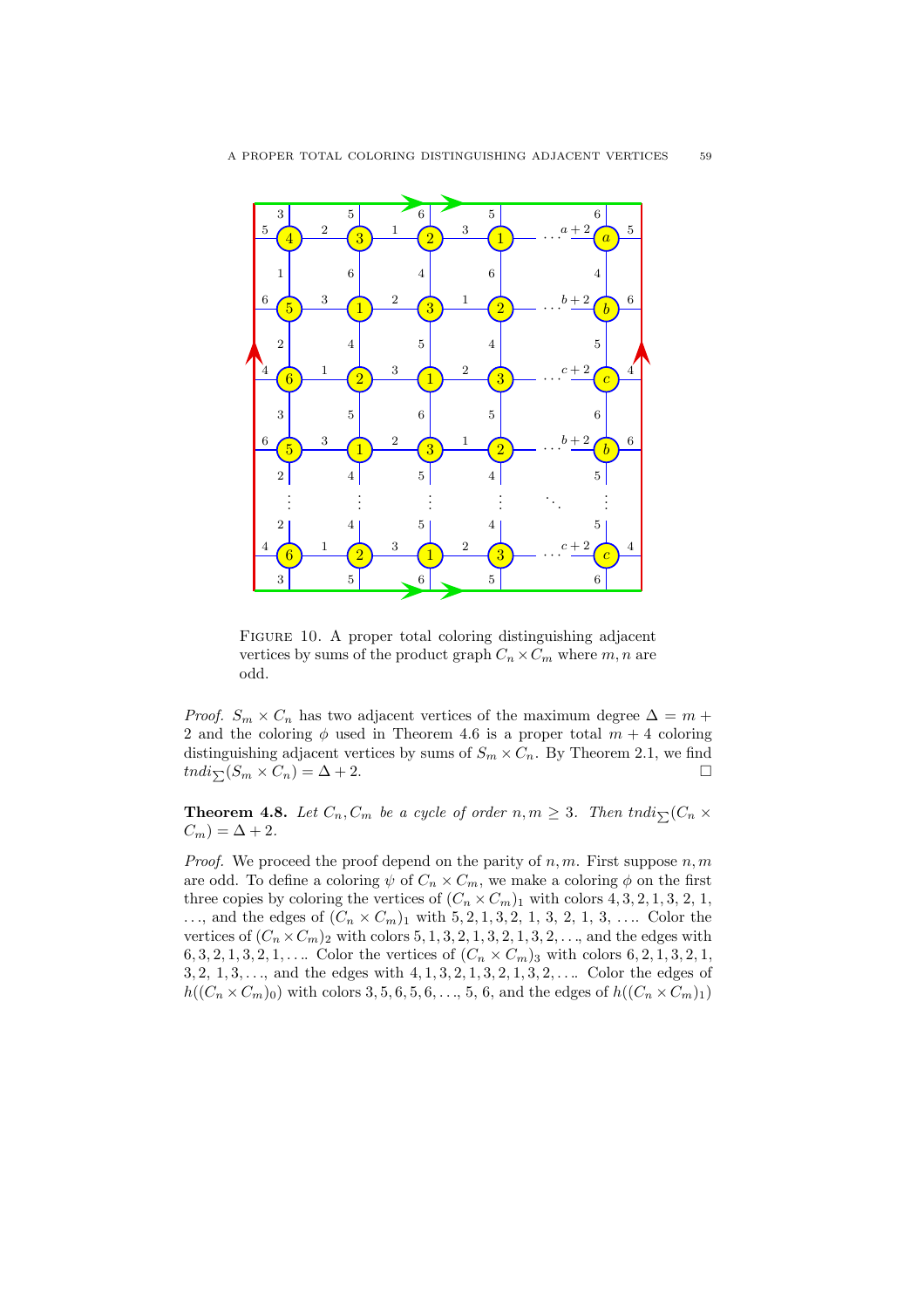

FIGURE 10. A proper total coloring distinguishing adjacent vertices by sums of the product graph  $C_n \times C_m$  where m, n are odd.

*Proof.*  $S_m \times C_n$  has two adjacent vertices of the maximum degree  $\Delta = m +$ 2 and the coloring  $\phi$  used in Theorem 4.6 is a proper total  $m + 4$  coloring distinguishing adjacent vertices by sums of  $S_m \times C_n$ . By Theorem 2.1, we find  $tndi_{\sum}(S_m \times C_n) = \Delta + 2.$ 

**Theorem 4.8.** Let  $C_n$ ,  $C_m$  be a cycle of order  $n, m \geq 3$ . Then tndi $\sum_{n=1}^{n} (C_n \times C_m)$  $C_m$ ) =  $\Delta + 2$ .

*Proof.* We proceed the proof depend on the parity of  $n, m$ . First suppose  $n, m$ are odd. To define a coloring  $\psi$  of  $C_n \times C_m$ , we make a coloring  $\phi$  on the first three copies by coloring the vertices of  $(C_n \times C_m)$  with colors 4, 3, 2, 1, 3, 2, 1, ..., and the edges of  $(C_n \times C_m)_1$  with 5, 2, 1, 3, 2, 1, 3, 2, 1, 3, .... Color the vertices of  $(C_n \times C_m)$ <sub>2</sub> with colors 5, 1, 3, 2, 1, 3, 2, 1, 3, 2, ..., and the edges with 6, 3, 2, 1, 3, 2, 1, .... Color the vertices of  $(C_n \times C_m)$ <sub>3</sub> with colors 6, 2, 1, 3, 2, 1, 3, 2,  $1, 3, \ldots$ , and the edges with  $4, 1, 3, 2, 1, 3, 2, 1, 3, 2, \ldots$  Color the edges of  $h((C_n \times C_m)_0)$  with colors 3, 5, 6, 5, 6, ..., 5, 6, and the edges of  $h((C_n \times C_m)_1)$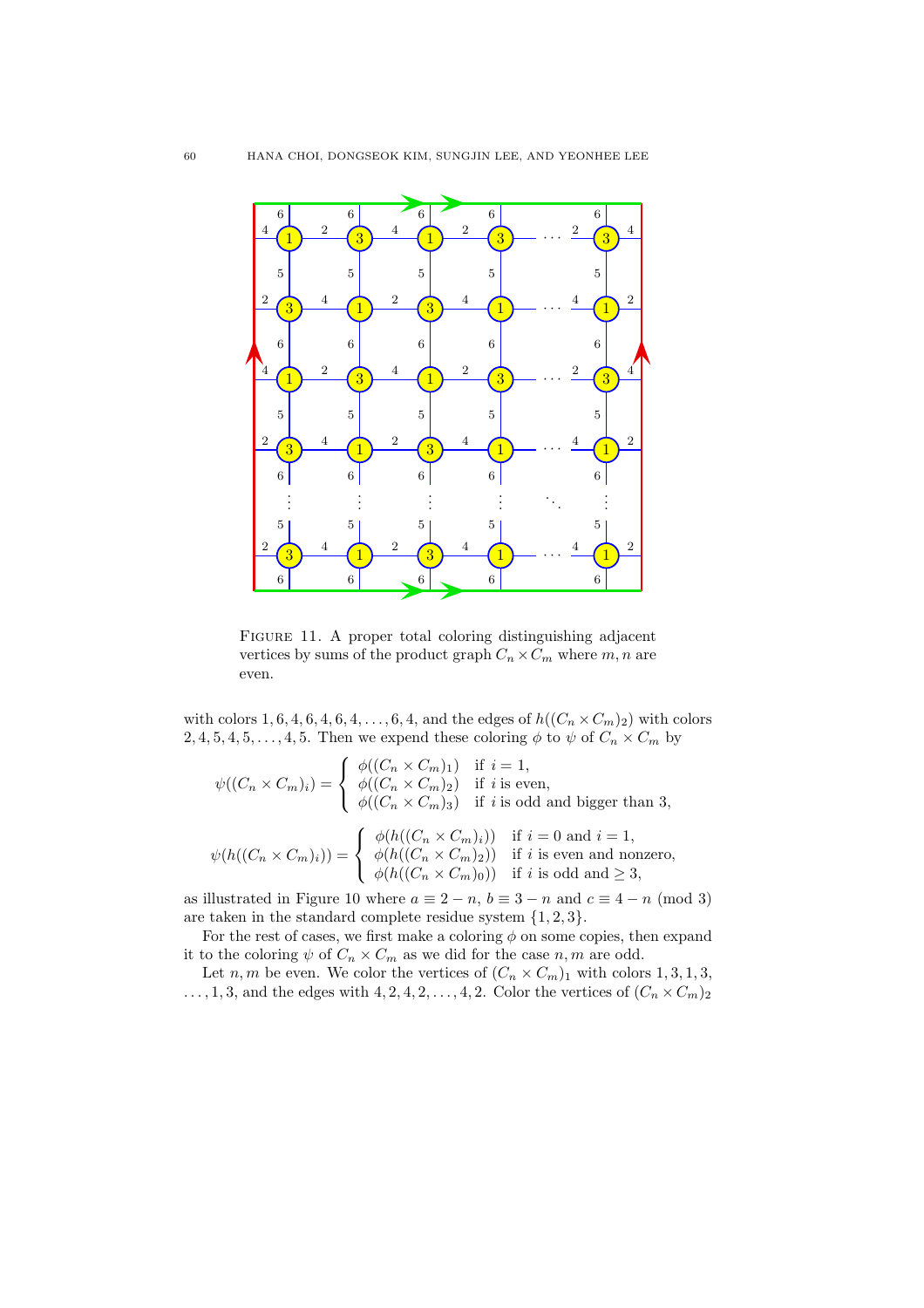

FIGURE 11. A proper total coloring distinguishing adjacent vertices by sums of the product graph  $C_n \times C_m$  where  $m, n$  are even.

with colors 1, 6, 4, 6, 4, 6, 4, ..., 6, 4, and the edges of  $h((C_n \times C_m)_2)$  with colors 2, 4, 5, 4, 5, ..., 4, 5. Then we expend these coloring  $\phi$  to  $\psi$  of  $C_n \times C_m$  by

$$
\psi((C_n \times C_m)_i) = \begin{cases} \phi((C_n \times C_m)_1) & \text{if } i = 1, \\ \phi((C_n \times C_m)_2) & \text{if } i \text{ is even,} \\ \phi((C_n \times C_m)_3) & \text{if } i \text{ is odd and bigger than 3,} \\ \psi(h((C_n \times C_m)_i)) & \text{if } i = 0 \text{ and } i = 1, \\ \phi(h((C_n \times C_m)_2)) & \text{if } i \text{ is even and nonzero,} \\ \phi(h((C_n \times C_m)_0)) & \text{if } i \text{ is odd and } \ge 3, \end{cases}
$$

as illustrated in Figure 10 where  $a \equiv 2 - n$ ,  $b \equiv 3 - n$  and  $c \equiv 4 - n \pmod{3}$ are taken in the standard complete residue system  $\{1, 2, 3\}.$ 

For the rest of cases, we first make a coloring  $\phi$  on some copies, then expand it to the coloring  $\psi$  of  $C_n \times C_m$  as we did for the case  $n, m$  are odd.

Let n, m be even. We color the vertices of  $(C_n \times C_m)_1$  with colors 1, 3, 1, 3,  $\ldots$ , 1, 3, and the edges with 4, 2, 4, 2,  $\ldots$ , 4, 2. Color the vertices of  $(C_n \times C_m)_2$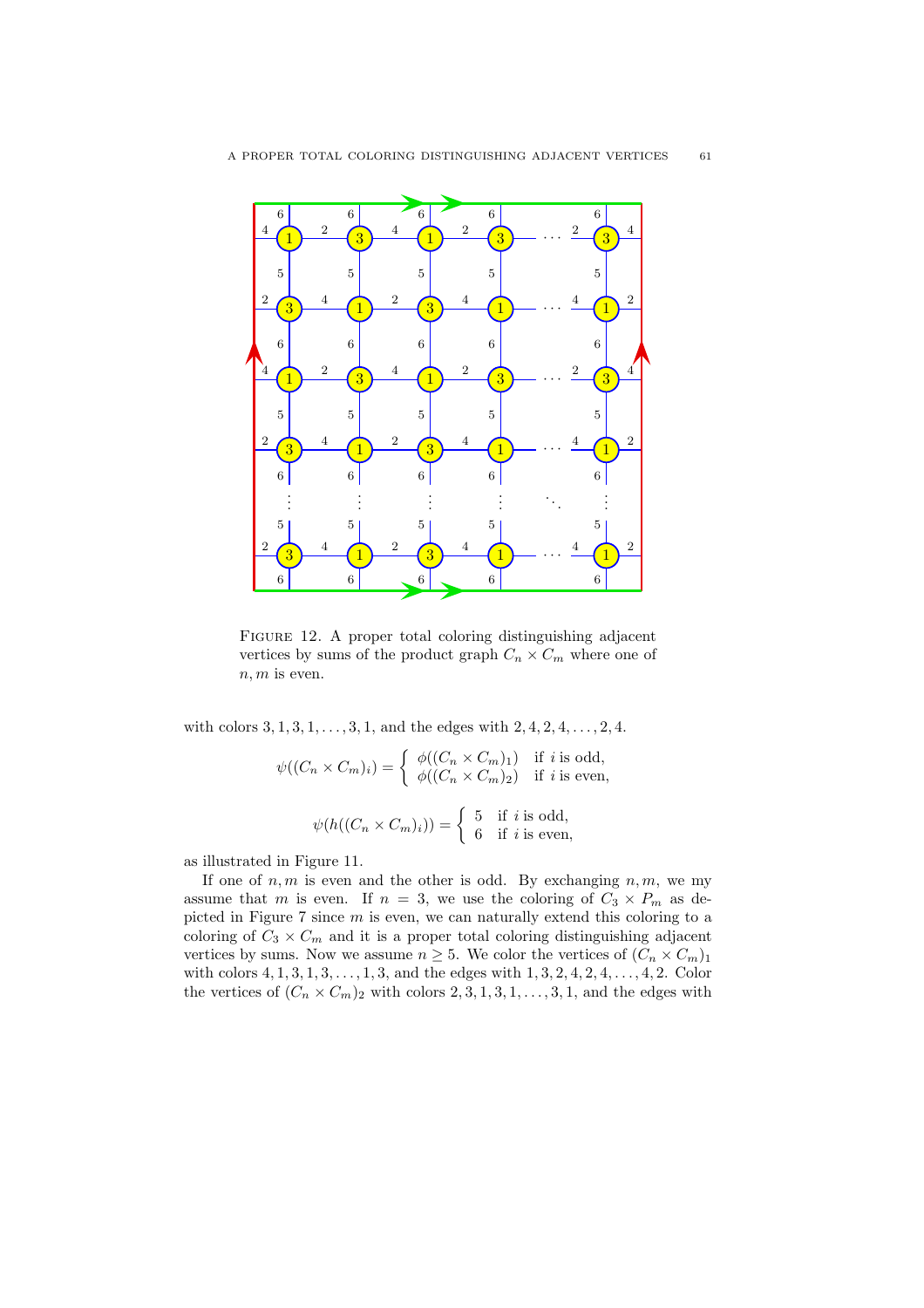

FIGURE 12. A proper total coloring distinguishing adjacent vertices by sums of the product graph  $C_n \times C_m$  where one of  $n, m$  is even.

with colors  $3, 1, 3, 1, \ldots, 3, 1$ , and the edges with  $2, 4, 2, 4, \ldots, 2, 4$ .

$$
\psi((C_n \times C_m)_i) = \begin{cases} \phi((C_n \times C_m)_1) & \text{if } i \text{ is odd,} \\ \phi((C_n \times C_m)_2) & \text{if } i \text{ is even,} \end{cases}
$$

$$
\psi(h((C_n \times C_m)_i)) = \begin{cases} 5 & \text{if } i \text{ is odd,} \\ 6 & \text{if } i \text{ is even,} \end{cases}
$$

as illustrated in Figure 11.

If one of  $n, m$  is even and the other is odd. By exchanging  $n, m$ , we my assume that m is even. If  $n = 3$ , we use the coloring of  $C_3 \times P_m$  as depicted in Figure 7 since m is even, we can naturally extend this coloring to a coloring of  $C_3 \times C_m$  and it is a proper total coloring distinguishing adjacent vertices by sums. Now we assume  $n \geq 5$ . We color the vertices of  $(C_n \times C_m)_1$ with colors  $4, 1, 3, 1, 3, \ldots, 1, 3$ , and the edges with  $1, 3, 2, 4, 2, 4, \ldots, 4, 2$ . Color the vertices of  $(C_n \times C_m)$ <sub>2</sub> with colors 2, 3, 1, 3, 1, ..., 3, 1, and the edges with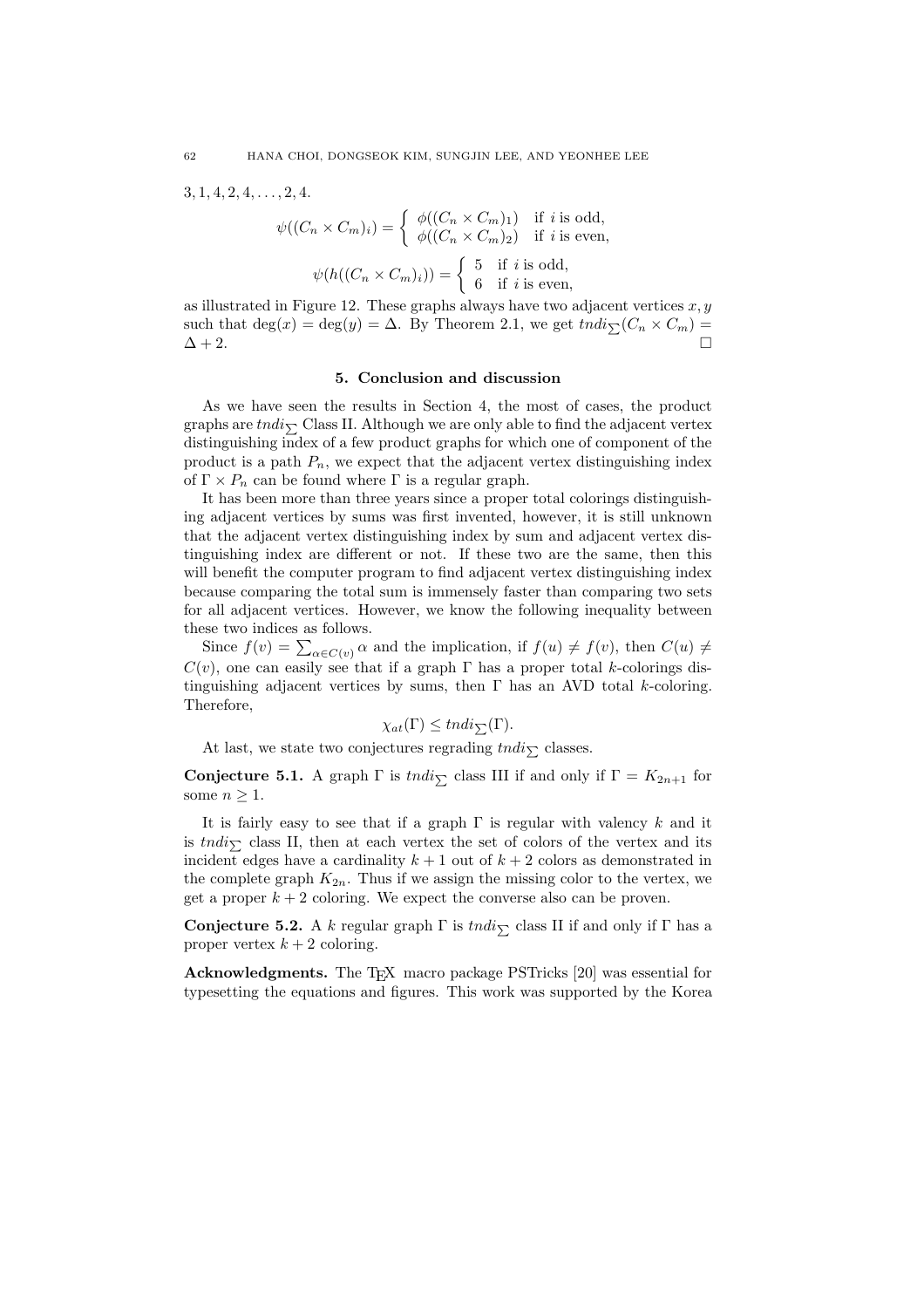$3, 1, 4, 2, 4, \ldots, 2, 4.$ 

$$
\psi((C_n \times C_m)_i) = \begin{cases} \phi((C_n \times C_m)_1) & \text{if } i \text{ is odd,} \\ \phi((C_n \times C_m)_2) & \text{if } i \text{ is even,} \end{cases}
$$

$$
\psi(h((C_n \times C_m)_i)) = \begin{cases} 5 & \text{if } i \text{ is odd,} \\ 6 & \text{if } i \text{ is even,} \end{cases}
$$

as illustrated in Figure 12. These graphs always have two adjacent vertices  $x, y$ such that  $\deg(x) = \deg(y) = \Delta$ . By Theorem 2.1, we get  $\text{tndi}_{\sum}(C_n \times C_m) =$  $\Delta + 2$ .

#### 5. Conclusion and discussion

As we have seen the results in Section 4, the most of cases, the product graphs are  $tndi_{\sum}$  Class II. Although we are only able to find the adjacent vertex distinguishing index of a few product graphs for which one of component of the product is a path  $P_n$ , we expect that the adjacent vertex distinguishing index of  $\Gamma \times P_n$  can be found where  $\Gamma$  is a regular graph.

It has been more than three years since a proper total colorings distinguishing adjacent vertices by sums was first invented, however, it is still unknown that the adjacent vertex distinguishing index by sum and adjacent vertex distinguishing index are different or not. If these two are the same, then this will benefit the computer program to find adjacent vertex distinguishing index because comparing the total sum is immensely faster than comparing two sets for all adjacent vertices. However, we know the following inequality between these two indices as follows.

Since  $f(v) = \sum_{\alpha \in C(v)} \alpha$  and the implication, if  $f(u) \neq f(v)$ , then  $C(u) \neq$  $C(v)$ , one can easily see that if a graph Γ has a proper total k-colorings distinguishing adjacent vertices by sums, then  $\Gamma$  has an AVD total k-coloring. Therefore,

$$
\chi_{at}(\Gamma) \leq tndi_{\sum}(\Gamma).
$$

At last, we state two conjectures regrading  $tndi_{\sum}$  classes.

Conjecture 5.1. A graph  $\Gamma$  is tndi<sub> $\Sigma$ </sub> class III if and only if  $\Gamma = K_{2n+1}$  for some  $n \geq 1$ .

It is fairly easy to see that if a graph  $\Gamma$  is regular with valency k and it is  $tndi_{\sum}$  class II, then at each vertex the set of colors of the vertex and its incident edges have a cardinality  $k + 1$  out of  $k + 2$  colors as demonstrated in the complete graph  $K_{2n}$ . Thus if we assign the missing color to the vertex, we get a proper  $k + 2$  coloring. We expect the converse also can be proven.

**Conjecture 5.2.** A k regular graph  $\Gamma$  is tndi<sub> $\Gamma$ </sub> class II if and only if  $\Gamma$  has a proper vertex  $k + 2$  coloring.

Acknowledgments. The TEX macro package PSTricks [20] was essential for typesetting the equations and figures. This work was supported by the Korea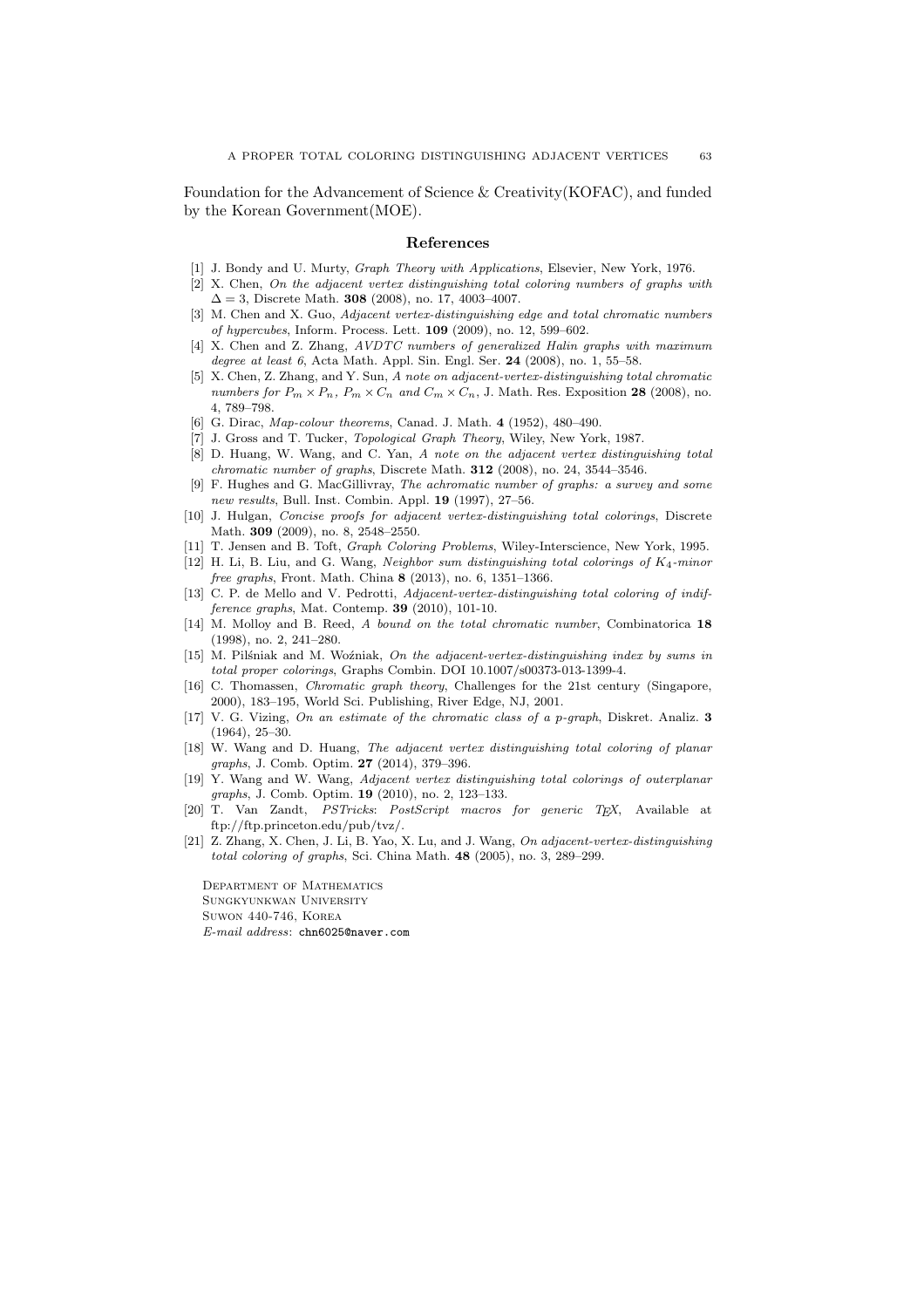Foundation for the Advancement of Science & Creativity(KOFAC), and funded by the Korean Government(MOE).

#### References

- [1] J. Bondy and U. Murty, *Graph Theory with Applications*, Elsevier, New York, 1976.
- [2] X. Chen, On the adjacent vertex distinguishing total coloring numbers of graphs with  $\Delta = 3$ , Discrete Math. **308** (2008), no. 17, 4003-4007.
- [3] M. Chen and X. Guo, Adjacent vertex-distinguishing edge and total chromatic numbers of hypercubes, Inform. Process. Lett. 109 (2009), no. 12, 599–602.
- [4] X. Chen and Z. Zhang, AVDTC numbers of generalized Halin graphs with maximum degree at least 6, Acta Math. Appl. Sin. Engl. Ser. 24 (2008), no. 1, 55-58.
- [5] X. Chen, Z. Zhang, and Y. Sun, A note on adjacent-vertex-distinguishing total chromatic numbers for  $P_m \times P_n$ ,  $P_m \times C_n$  and  $C_m \times C_n$ , J. Math. Res. Exposition 28 (2008), no. 4, 789–798.
- [6] G. Dirac, *Map-colour theorems*, Canad. J. Math. 4 (1952), 480–490.
- [7] J. Gross and T. Tucker, Topological Graph Theory, Wiley, New York, 1987.
- [8] D. Huang, W. Wang, and C. Yan, A note on the adjacent vertex distinguishing total chromatic number of graphs, Discrete Math.  $312$  (2008), no. 24, 3544–3546.
- [9] F. Hughes and G. MacGillivray, The achromatic number of graphs: a survey and some new results, Bull. Inst. Combin. Appl. 19 (1997), 27–56.
- [10] J. Hulgan, Concise proofs for adjacent vertex-distinguishing total colorings, Discrete Math. 309 (2009), no. 8, 2548–2550.
- [11] T. Jensen and B. Toft, Graph Coloring Problems, Wiley-Interscience, New York, 1995.
- [12] H. Li, B. Liu, and G. Wang, Neighbor sum distinguishing total colorings of  $K_4$ -minor free graphs, Front. Math. China 8 (2013), no. 6, 1351–1366.
- [13] C. P. de Mello and V. Pedrotti, Adjacent-vertex-distinguishing total coloring of indifference graphs, Mat. Contemp. **39** (2010), 101-10.
- [14] M. Molloy and B. Reed, A bound on the total chromatic number, Combinatorica 18 (1998), no. 2, 241–280.
- [15] M. Pilśniak and M. Woźniak, On the adjacent-vertex-distinguishing index by sums in total proper colorings, Graphs Combin. DOI 10.1007/s00373-013-1399-4.
- [16] C. Thomassen, Chromatic graph theory, Challenges for the 21st century (Singapore, 2000), 183–195, World Sci. Publishing, River Edge, NJ, 2001.
- [17] V. G. Vizing, On an estimate of the chromatic class of a p-graph, Diskret. Analiz. 3 (1964), 25–30.
- [18] W. Wang and D. Huang, The adjacent vertex distinguishing total coloring of planar graphs, J. Comb. Optim. 27 (2014), 379–396.
- [19] Y. Wang and W. Wang, Adjacent vertex distinguishing total colorings of outerplanar graphs, J. Comb. Optim. 19 (2010), no. 2, 123–133.
- [20] T. Van Zandt, PSTricks: PostScript macros for generic TEX, Available at ftp://ftp.princeton.edu/pub/tvz/.
- [21] Z. Zhang, X. Chen, J. Li, B. Yao, X. Lu, and J. Wang, On adjacent-vertex-distinguishing total coloring of graphs, Sci. China Math. 48 (2005), no. 3, 289–299.

Department of Mathematics Sungkyunkwan University Suwon 440-746, Korea E-mail address: chn6025@naver.com